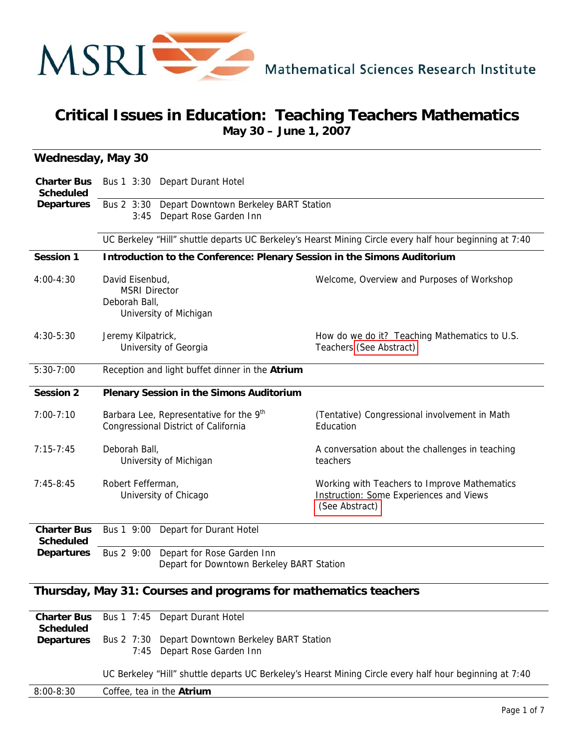

## **Critical Issues in Education: Teaching Teachers Mathematics May 30 – June 1, 2007**

| <b>Wednesday, May 30</b>               |                                                                                                                         |                                                                                                           |
|----------------------------------------|-------------------------------------------------------------------------------------------------------------------------|-----------------------------------------------------------------------------------------------------------|
| <b>Charter Bus</b><br><b>Scheduled</b> | Bus 1 3:30 Depart Durant Hotel<br>Bus 2 3:30<br>Depart Downtown Berkeley BART Station<br>Depart Rose Garden Inn<br>3:45 |                                                                                                           |
| <b>Departures</b>                      |                                                                                                                         |                                                                                                           |
|                                        |                                                                                                                         | UC Berkeley "Hill" shuttle departs UC Berkeley's Hearst Mining Circle every half hour beginning at 7:40   |
| <b>Session 1</b>                       | Introduction to the Conference: Plenary Session in the Simons Auditorium                                                |                                                                                                           |
| $4:00 - 4:30$                          | David Eisenbud,<br><b>MSRI Director</b><br>Deborah Ball,<br>University of Michigan                                      | Welcome, Overview and Purposes of Workshop                                                                |
| 4:30-5:30                              | Jeremy Kilpatrick,<br>University of Georgia                                                                             | How do we do it? Teaching Mathematics to U.S.<br>Teachers (See Abstract)                                  |
| $5:30-7:00$                            | Reception and light buffet dinner in the Atrium                                                                         |                                                                                                           |
| <b>Session 2</b>                       | <b>Plenary Session in the Simons Auditorium</b>                                                                         |                                                                                                           |
| $7:00 - 7:10$                          | Barbara Lee, Representative for the 9 <sup>th</sup><br>Congressional District of California                             | (Tentative) Congressional involvement in Math<br>Education                                                |
| $7:15 - 7:45$                          | Deborah Ball,<br>University of Michigan                                                                                 | A conversation about the challenges in teaching<br>teachers                                               |
| $7:45-8:45$                            | Robert Fefferman,<br>University of Chicago                                                                              | Working with Teachers to Improve Mathematics<br>Instruction: Some Experiences and Views<br>(See Abstract) |
| <b>Charter Bus</b><br><b>Scheduled</b> | Bus 1 9:00<br>Depart for Durant Hotel                                                                                   |                                                                                                           |
| <b>Departures</b>                      | Depart for Rose Garden Inn<br>Bus 2 9:00<br>Depart for Downtown Berkeley BART Station                                   |                                                                                                           |

#### **Thursday, May 31: Courses and programs for mathematics teachers**

|                   | <b>Charter Bus</b> Bus 1 7:45 Depart Durant Hotel                                                                    |
|-------------------|----------------------------------------------------------------------------------------------------------------------|
| Scheduled         |                                                                                                                      |
| <b>Departures</b> | Bus 2 7:30 Depart Downtown Berkeley BART Station                                                                     |
|                   | 7:45 Depart Rose Garden Inn                                                                                          |
|                   | $\overline{10}$ Derkeley #Hill" objettle denorte UC Derkeley's Hearet Mining Circle even bolf bour beginning of 7.40 |

UC Berkeley "Hill" shuttle departs UC Berkeley's Hearst Mining Circle every half hour beginning at 7:40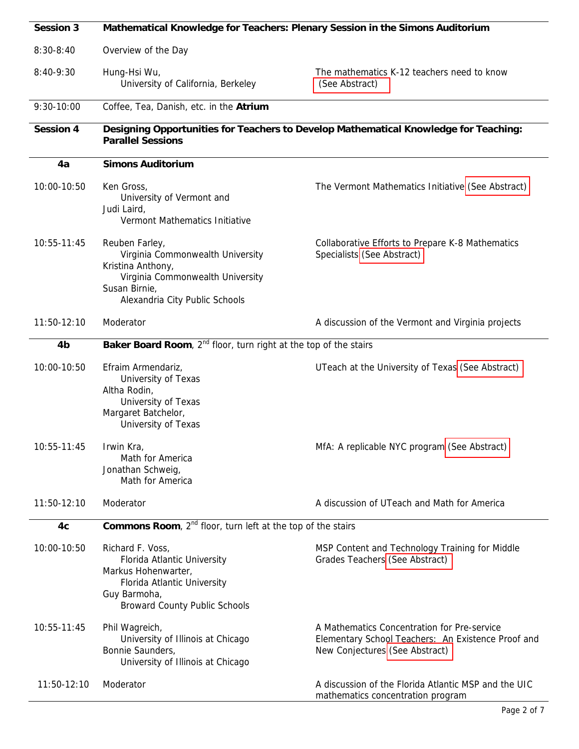| <b>Session 3</b> | Mathematical Knowledge for Teachers: Plenary Session in the Simons Auditorium                                                                                  |                                                                                                                                     |  |
|------------------|----------------------------------------------------------------------------------------------------------------------------------------------------------------|-------------------------------------------------------------------------------------------------------------------------------------|--|
| $8:30-8:40$      | Overview of the Day                                                                                                                                            |                                                                                                                                     |  |
| $8:40-9:30$      | Hung-Hsi Wu,<br>University of California, Berkeley                                                                                                             | The mathematics K-12 teachers need to know<br>(See Abstract)                                                                        |  |
| 9:30-10:00       | Coffee, Tea, Danish, etc. in the Atrium                                                                                                                        |                                                                                                                                     |  |
| <b>Session 4</b> | <b>Parallel Sessions</b>                                                                                                                                       | Designing Opportunities for Teachers to Develop Mathematical Knowledge for Teaching:                                                |  |
| 4a               | <b>Simons Auditorium</b>                                                                                                                                       |                                                                                                                                     |  |
| 10:00-10:50      | Ken Gross,<br>University of Vermont and<br>Judi Laird,<br>Vermont Mathematics Initiative                                                                       | The Vermont Mathematics Initiative (See Abstract)                                                                                   |  |
| 10:55-11:45      | Reuben Farley,<br>Virginia Commonwealth University<br>Kristina Anthony,<br>Virginia Commonwealth University<br>Susan Birnie,<br>Alexandria City Public Schools | Collaborative Efforts to Prepare K-8 Mathematics<br>Specialists (See Abstract)                                                      |  |
| 11:50-12:10      | Moderator                                                                                                                                                      | A discussion of the Vermont and Virginia projects                                                                                   |  |
| 4b               | Baker Board Room, 2 <sup>nd</sup> floor, turn right at the top of the stairs                                                                                   |                                                                                                                                     |  |
| 10:00-10:50      | Efraim Armendariz,<br>University of Texas<br>Altha Rodin,<br>University of Texas<br>Margaret Batchelor,<br>University of Texas                                 | UTeach at the University of Texas (See Abstract)                                                                                    |  |
| 10:55-11:45      | Irwin Kra,<br>Math for America<br>Jonathan Schweig,<br>Math for America                                                                                        | MfA: A replicable NYC program (See Abstract)                                                                                        |  |
| 11:50-12:10      | Moderator                                                                                                                                                      | A discussion of UTeach and Math for America                                                                                         |  |
| 4c               | <b>Commons Room</b> , $2^{nd}$ floor, turn left at the top of the stairs                                                                                       |                                                                                                                                     |  |
| 10:00-10:50      | Richard F. Voss,<br>Florida Atlantic University<br>Markus Hohenwarter,<br>Florida Atlantic University<br>Guy Barmoha,<br><b>Broward County Public Schools</b>  | MSP Content and Technology Training for Middle<br>Grades Teachers (See Abstract)                                                    |  |
| 10:55-11:45      | Phil Wagreich,<br>University of Illinois at Chicago<br>Bonnie Saunders,<br>University of Illinois at Chicago                                                   | A Mathematics Concentration for Pre-service<br>Elementary School Teachers: An Existence Proof and<br>New Conjectures (See Abstract) |  |
| 11:50-12:10      | Moderator                                                                                                                                                      | A discussion of the Florida Atlantic MSP and the UIC<br>mathematics concentration program                                           |  |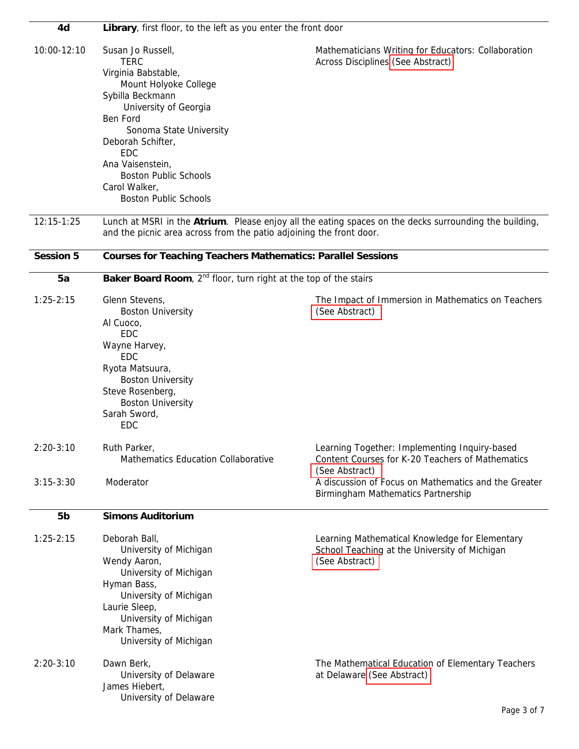| 4d               | Library, first floor, to the left as you enter the front door                                                                                                                                                                                                                                                |                                                                                                                     |  |
|------------------|--------------------------------------------------------------------------------------------------------------------------------------------------------------------------------------------------------------------------------------------------------------------------------------------------------------|---------------------------------------------------------------------------------------------------------------------|--|
| 10:00-12:10      | Susan Jo Russell,<br><b>TERC</b><br>Virginia Babstable,<br>Mount Holyoke College<br>Sybilla Beckmann<br>University of Georgia<br>Ben Ford<br>Sonoma State University<br>Deborah Schifter,<br><b>EDC</b><br>Ana Vaisenstein,<br><b>Boston Public Schools</b><br>Carol Walker,<br><b>Boston Public Schools</b> | Mathematicians Writing for Educators: Collaboration<br>Across Disciplines (See Abstract)                            |  |
| $12:15 - 1:25$   | and the picnic area across from the patio adjoining the front door.                                                                                                                                                                                                                                          | Lunch at MSRI in the Atrium. Please enjoy all the eating spaces on the decks surrounding the building,              |  |
| <b>Session 5</b> | <b>Courses for Teaching Teachers Mathematics: Parallel Sessions</b>                                                                                                                                                                                                                                          |                                                                                                                     |  |
| 5a               | Baker Board Room, $2^{nd}$ floor, turn right at the top of the stairs                                                                                                                                                                                                                                        |                                                                                                                     |  |
| $1:25 - 2:15$    | Glenn Stevens,<br><b>Boston University</b><br>Al Cuoco,<br><b>EDC</b><br>Wayne Harvey,<br><b>EDC</b><br>Ryota Matsuura,<br><b>Boston University</b><br>Steve Rosenberg,<br><b>Boston University</b><br>Sarah Sword,<br><b>EDC</b>                                                                            | The Impact of Immersion in Mathematics on Teachers<br>(See Abstract)                                                |  |
| $2:20-3:10$      | Ruth Parker,<br><b>Mathematics Education Collaborative</b>                                                                                                                                                                                                                                                   | Learning Together: Implementing Inquiry-based<br>Content Courses for K-20 Teachers of Mathematics<br>(See Abstract) |  |
| $3:15-3:30$      | Moderator                                                                                                                                                                                                                                                                                                    | A discussion of Focus on Mathematics and the Greater<br>Birmingham Mathematics Partnership                          |  |
| 5 <sub>b</sub>   | <b>Simons Auditorium</b>                                                                                                                                                                                                                                                                                     |                                                                                                                     |  |
| $1:25 - 2:15$    | Deborah Ball,<br>University of Michigan<br>Wendy Aaron,<br>University of Michigan<br>Hyman Bass,<br>University of Michigan<br>Laurie Sleep,<br>University of Michigan<br>Mark Thames,<br>University of Michigan                                                                                              | Learning Mathematical Knowledge for Elementary<br>School Teaching at the University of Michigan<br>(See Abstract)   |  |
| $2:20-3:10$      | Dawn Berk,<br>University of Delaware<br>James Hiebert,<br>University of Delaware                                                                                                                                                                                                                             | The Mathematical Education of Elementary Teachers<br>at Delaware (See Abstract)                                     |  |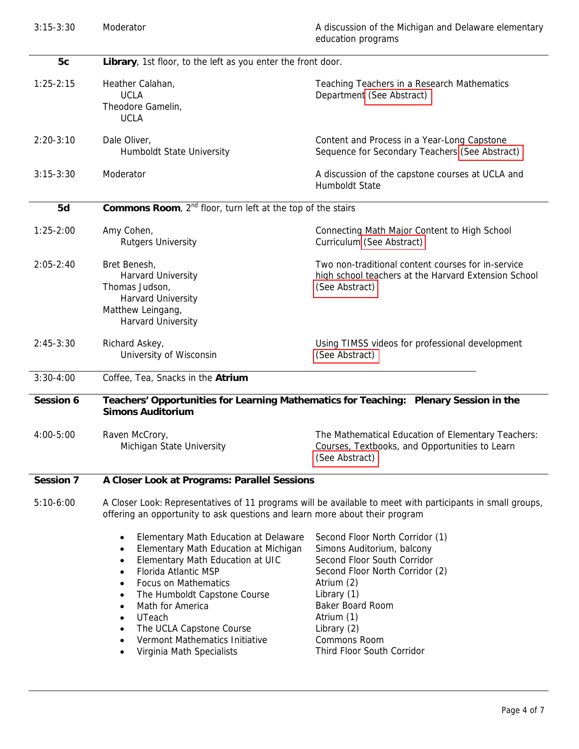| $3:15-3:30$      | Moderator                                                                                                                                                                                                                                                                                                                                                                                                                                                            | A discussion of the Michigan and Delaware elementary<br>education programs                                                                                                                                                                                         |  |
|------------------|----------------------------------------------------------------------------------------------------------------------------------------------------------------------------------------------------------------------------------------------------------------------------------------------------------------------------------------------------------------------------------------------------------------------------------------------------------------------|--------------------------------------------------------------------------------------------------------------------------------------------------------------------------------------------------------------------------------------------------------------------|--|
| 5c               | Library, 1st floor, to the left as you enter the front door.                                                                                                                                                                                                                                                                                                                                                                                                         |                                                                                                                                                                                                                                                                    |  |
| $1:25 - 2:15$    | Heather Calahan,<br><b>UCLA</b><br>Theodore Gamelin,<br><b>UCLA</b>                                                                                                                                                                                                                                                                                                                                                                                                  | Teaching Teachers in a Research Mathematics<br>Department (See Abstract)                                                                                                                                                                                           |  |
| $2:20-3:10$      | Dale Oliver,<br>Humboldt State University                                                                                                                                                                                                                                                                                                                                                                                                                            | Content and Process in a Year-Long Capstone<br>Sequence for Secondary Teachers (See Abstract)                                                                                                                                                                      |  |
| $3:15 - 3:30$    | Moderator                                                                                                                                                                                                                                                                                                                                                                                                                                                            | A discussion of the capstone courses at UCLA and<br>Humboldt State                                                                                                                                                                                                 |  |
| 5d               | Commons Room, 2 <sup>nd</sup> floor, turn left at the top of the stairs                                                                                                                                                                                                                                                                                                                                                                                              |                                                                                                                                                                                                                                                                    |  |
| $1:25-2:00$      | Amy Cohen,<br><b>Rutgers University</b>                                                                                                                                                                                                                                                                                                                                                                                                                              | Connecting Math Major Content to High School<br>Curriculum (See Abstract)                                                                                                                                                                                          |  |
| $2:05 - 2:40$    | Bret Benesh,<br>Harvard University<br>Thomas Judson,<br>Harvard University<br>Matthew Leingang,<br>Harvard University                                                                                                                                                                                                                                                                                                                                                | Two non-traditional content courses for in-service<br>high school teachers at the Harvard Extension School<br>(See Abstract)                                                                                                                                       |  |
| $2:45-3:30$      | Richard Askey,<br>University of Wisconsin                                                                                                                                                                                                                                                                                                                                                                                                                            | Using TIMSS videos for professional development<br>(See Abstract)                                                                                                                                                                                                  |  |
| $3:30-4:00$      | Coffee, Tea, Snacks in the Atrium                                                                                                                                                                                                                                                                                                                                                                                                                                    |                                                                                                                                                                                                                                                                    |  |
| <b>Session 6</b> | Teachers' Opportunities for Learning Mathematics for Teaching: Plenary Session in the<br><b>Simons Auditorium</b>                                                                                                                                                                                                                                                                                                                                                    |                                                                                                                                                                                                                                                                    |  |
| 4:00-5:00        | Raven McCrory,<br>Michigan State University                                                                                                                                                                                                                                                                                                                                                                                                                          | The Mathematical Education of Elementary Teachers:<br>Courses, Textbooks, and Opportunities to Learn<br>(See Abstract)                                                                                                                                             |  |
| <b>Session 7</b> | A Closer Look at Programs: Parallel Sessions                                                                                                                                                                                                                                                                                                                                                                                                                         |                                                                                                                                                                                                                                                                    |  |
| $5:10-6:00$      | A Closer Look: Representatives of 11 programs will be available to meet with participants in small groups,<br>offering an opportunity to ask questions and learn more about their program                                                                                                                                                                                                                                                                            |                                                                                                                                                                                                                                                                    |  |
|                  | Elementary Math Education at Delaware<br>$\bullet$<br>Elementary Math Education at Michigan<br>$\bullet$<br>Elementary Math Education at UIC<br>$\bullet$<br>Florida Atlantic MSP<br>$\bullet$<br><b>Focus on Mathematics</b><br>$\bullet$<br>The Humboldt Capstone Course<br>$\bullet$<br>Math for America<br>$\bullet$<br>UTeach<br>$\bullet$<br>The UCLA Capstone Course<br>$\bullet$<br>Vermont Mathematics Initiative<br>$\bullet$<br>Virginia Math Specialists | Second Floor North Corridor (1)<br>Simons Auditorium, balcony<br>Second Floor South Corridor<br>Second Floor North Corridor (2)<br>Atrium (2)<br>Library (1)<br><b>Baker Board Room</b><br>Atrium (1)<br>Library (2)<br>Commons Room<br>Third Floor South Corridor |  |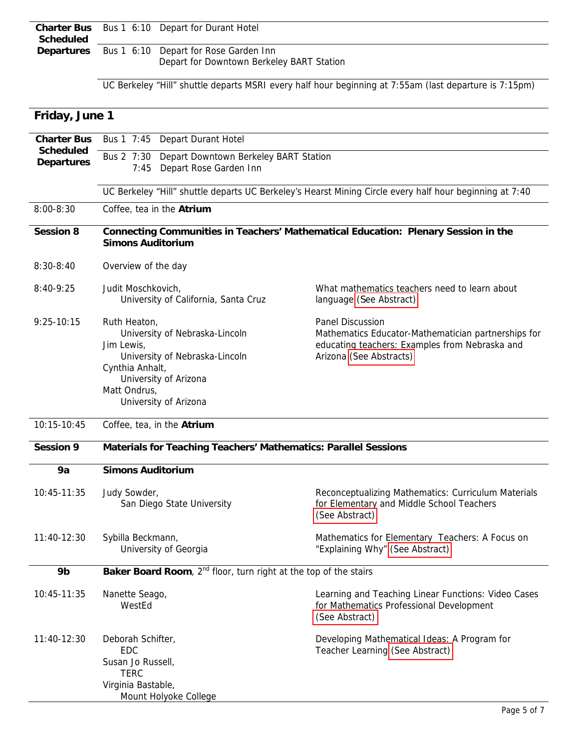|           | <b>Charter Bus</b> Bus 1 6:10 Depart for Durant Hotel   |
|-----------|---------------------------------------------------------|
| Scheduled |                                                         |
|           | <b>Departures</b> Bus 1 6:10 Depart for Rose Garden Inn |
|           | Depart for Downtown Berkeley BART Station               |

UC Berkeley "Hill" shuttle departs MSRI every half hour beginning at 7:55am (last departure is 7:15pm)

| Friday, June 1                        |                                                                                                                                                                                     |                                                                                                                                                             |  |
|---------------------------------------|-------------------------------------------------------------------------------------------------------------------------------------------------------------------------------------|-------------------------------------------------------------------------------------------------------------------------------------------------------------|--|
| <b>Charter Bus</b>                    | Bus 1 7:45<br><b>Depart Durant Hotel</b><br>Bus 2 7:30<br>Depart Downtown Berkeley BART Station<br>Depart Rose Garden Inn<br>7:45                                                   |                                                                                                                                                             |  |
| <b>Scheduled</b><br><b>Departures</b> |                                                                                                                                                                                     |                                                                                                                                                             |  |
|                                       | UC Berkeley "Hill" shuttle departs UC Berkeley's Hearst Mining Circle every half hour beginning at 7:40                                                                             |                                                                                                                                                             |  |
| $8:00 - 8:30$                         | Coffee, tea in the Atrium                                                                                                                                                           |                                                                                                                                                             |  |
| <b>Session 8</b>                      | Connecting Communities in Teachers' Mathematical Education: Plenary Session in the<br><b>Simons Auditorium</b>                                                                      |                                                                                                                                                             |  |
| $8:30 - 8:40$                         | Overview of the day                                                                                                                                                                 |                                                                                                                                                             |  |
| $8:40-9:25$                           | Judit Moschkovich,<br>University of California, Santa Cruz                                                                                                                          | What mathematics teachers need to learn about<br>language (See Abstract)                                                                                    |  |
| $9:25 - 10:15$                        | Ruth Heaton,<br>University of Nebraska-Lincoln<br>Jim Lewis,<br>University of Nebraska-Lincoln<br>Cynthia Anhalt,<br>University of Arizona<br>Matt Ondrus,<br>University of Arizona | <b>Panel Discussion</b><br>Mathematics Educator-Mathematician partnerships for<br>educating teachers: Examples from Nebraska and<br>Arizona (See Abstracts) |  |
| 10:15-10:45                           | Coffee, tea, in the Atrium                                                                                                                                                          |                                                                                                                                                             |  |
| <b>Session 9</b>                      | Materials for Teaching Teachers' Mathematics: Parallel Sessions                                                                                                                     |                                                                                                                                                             |  |
| 9a                                    | <b>Simons Auditorium</b>                                                                                                                                                            |                                                                                                                                                             |  |
| 10:45-11:35                           | Judy Sowder,<br>San Diego State University                                                                                                                                          | Reconceptualizing Mathematics: Curriculum Materials<br>for Elementary and Middle School Teachers<br>(See Abstract)                                          |  |
| 11:40-12:30                           | Sybilla Beckmann,<br>University of Georgia                                                                                                                                          | Mathematics for Elementary Teachers: A Focus on<br>"Explaining Why" (See Abstract)                                                                          |  |
| 9b                                    | <b>Baker Board Room</b> , $2^{nd}$ floor, turn right at the top of the stairs                                                                                                       |                                                                                                                                                             |  |
| 10:45-11:35                           | Nanette Seago,<br>WestEd                                                                                                                                                            | Learning and Teaching Linear Functions: Video Cases<br>for Mathematics Professional Development<br>(See Abstract)                                           |  |
| 11:40-12:30                           | Deborah Schifter,<br><b>EDC</b><br>Susan Jo Russell,<br><b>TERC</b><br>Virginia Bastable,<br>Mount Holyoke College                                                                  | Developing Mathematical Ideas: A Program for<br>Teacher Learning (See Abstract)                                                                             |  |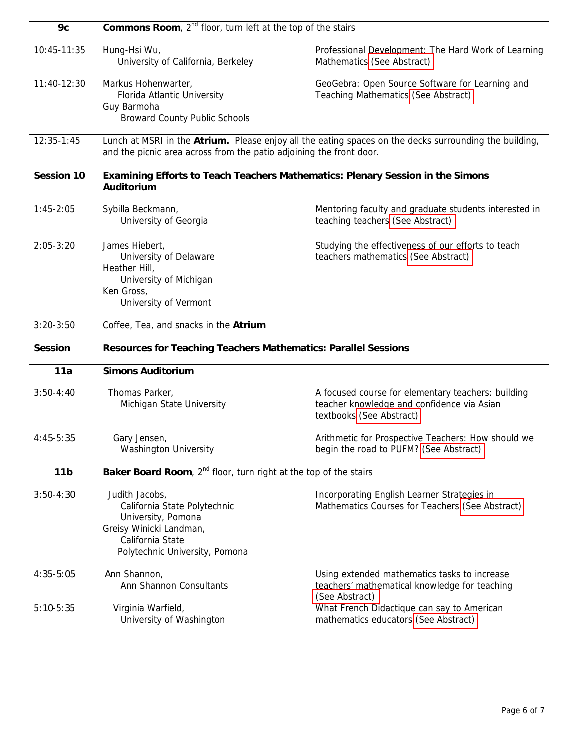| 9c                | <b>Commons Room</b> , $2^{nd}$ floor, turn left at the top of the stairs                                                                                                      |                                                                                                                              |  |
|-------------------|-------------------------------------------------------------------------------------------------------------------------------------------------------------------------------|------------------------------------------------------------------------------------------------------------------------------|--|
| 10:45-11:35       | Hung-Hsi Wu,<br>University of California, Berkeley                                                                                                                            | Professional Development: The Hard Work of Learning<br>Mathematics (See Abstract)                                            |  |
| $11:40-12:30$     | Markus Hohenwarter,<br>Florida Atlantic University<br>Guy Barmoha<br><b>Broward County Public Schools</b>                                                                     | GeoGebra: Open Source Software for Learning and<br><b>Teaching Mathematics (See Abstract)</b>                                |  |
| 12:35-1:45        | Lunch at MSRI in the Atrium. Please enjoy all the eating spaces on the decks surrounding the building,<br>and the picnic area across from the patio adjoining the front door. |                                                                                                                              |  |
| <b>Session 10</b> | Examining Efforts to Teach Teachers Mathematics: Plenary Session in the Simons<br>Auditorium                                                                                  |                                                                                                                              |  |
| $1:45-2:05$       | Sybilla Beckmann,<br>University of Georgia                                                                                                                                    | Mentoring faculty and graduate students interested in<br>teaching teachers (See Abstract)                                    |  |
| $2:05 - 3:20$     | James Hiebert,<br>University of Delaware<br>Heather Hill,<br>University of Michigan<br>Ken Gross,<br>University of Vermont                                                    | Studying the effectiveness of our efforts to teach<br>teachers mathematics (See Abstract)                                    |  |
| $3:20-3:50$       | Coffee, Tea, and snacks in the Atrium                                                                                                                                         |                                                                                                                              |  |
| <b>Session</b>    | Resources for Teaching Teachers Mathematics: Parallel Sessions                                                                                                                |                                                                                                                              |  |
| 11a               | <b>Simons Auditorium</b>                                                                                                                                                      |                                                                                                                              |  |
| $3:50-4:40$       | Thomas Parker,<br>Michigan State University                                                                                                                                   | A focused course for elementary teachers: building<br>teacher knowledge and confidence via Asian<br>textbooks (See Abstract) |  |
| $4:45-5:35$       | Gary Jensen,<br><b>Washington University</b>                                                                                                                                  | Arithmetic for Prospective Teachers: How should we<br>begin the road to PUFM? (See Abstract)                                 |  |
| 11 <sub>b</sub>   | Baker Board Room, 2 <sup>nd</sup> floor, turn right at the top of the stairs                                                                                                  |                                                                                                                              |  |
| $3:50-4:30$       | Judith Jacobs,<br>California State Polytechnic<br>University, Pomona<br>Greisy Winicki Landman,<br>California State<br>Polytechnic University, Pomona                         | Incorporating English Learner Strategies in<br>Mathematics Courses for Teachers (See Abstract)                               |  |
| 4:35-5:05         | Ann Shannon,<br>Ann Shannon Consultants                                                                                                                                       | Using extended mathematics tasks to increase<br>teachers' mathematical knowledge for teaching<br>(See Abstract)              |  |
| $5:10-5:35$       | Virginia Warfield,<br>University of Washington                                                                                                                                | What French Didactique can say to American<br>mathematics educators (See Abstract)                                           |  |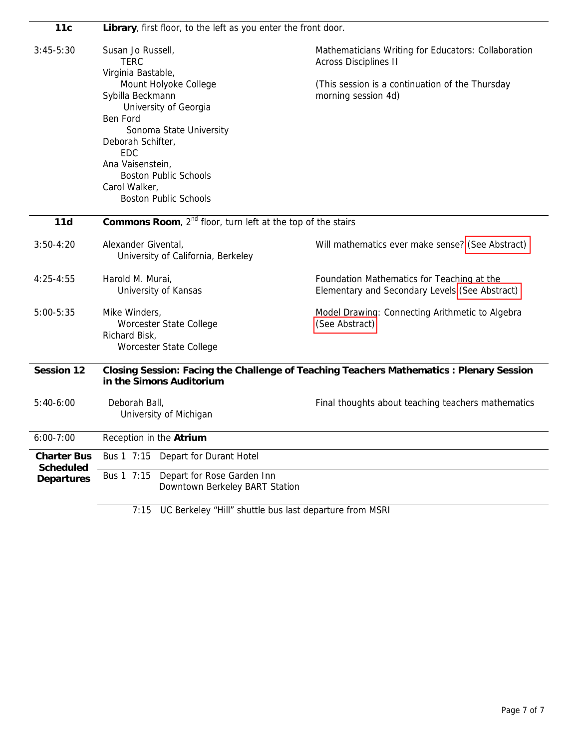| 11c                                   | Library, first floor, to the left as you enter the front door.                                                                                                                                                                                    |                                                                                              |  |
|---------------------------------------|---------------------------------------------------------------------------------------------------------------------------------------------------------------------------------------------------------------------------------------------------|----------------------------------------------------------------------------------------------|--|
| $3:45-5:30$                           | Susan Jo Russell,<br><b>TERC</b><br>Virginia Bastable,                                                                                                                                                                                            | Mathematicians Writing for Educators: Collaboration<br><b>Across Disciplines II</b>          |  |
|                                       | Mount Holyoke College<br>Sybilla Beckmann<br>University of Georgia<br>Ben Ford<br>Sonoma State University<br>Deborah Schifter,<br><b>EDC</b><br>Ana Vaisenstein,<br><b>Boston Public Schools</b><br>Carol Walker,<br><b>Boston Public Schools</b> | (This session is a continuation of the Thursday<br>morning session 4d)                       |  |
| 11d                                   | Commons Room, 2 <sup>nd</sup> floor, turn left at the top of the stairs                                                                                                                                                                           |                                                                                              |  |
| $3:50-4:20$                           | Alexander Givental,<br>University of California, Berkeley                                                                                                                                                                                         | Will mathematics ever make sense? (See Abstract)                                             |  |
| $4:25 - 4:55$                         | Harold M. Murai,<br>University of Kansas                                                                                                                                                                                                          | Foundation Mathematics for Teaching at the<br>Elementary and Secondary Levels (See Abstract) |  |
| $5:00 - 5:35$                         | Mike Winders,<br>Worcester State College<br>Richard Bisk,<br>Worcester State College                                                                                                                                                              | Model Drawing: Connecting Arithmetic to Algebra<br>(See Abstract)                            |  |
| Session 12                            | Closing Session: Facing the Challenge of Teaching Teachers Mathematics : Plenary Session<br>in the Simons Auditorium                                                                                                                              |                                                                                              |  |
| $5:40-6:00$                           | Deborah Ball,<br>University of Michigan                                                                                                                                                                                                           | Final thoughts about teaching teachers mathematics                                           |  |
| $6:00 - 7:00$                         | Reception in the Atrium                                                                                                                                                                                                                           |                                                                                              |  |
| <b>Charter Bus</b>                    | Depart for Durant Hotel<br>Bus 1 7:15                                                                                                                                                                                                             |                                                                                              |  |
| <b>Scheduled</b><br><b>Departures</b> | Bus 1 7:15<br>Depart for Rose Garden Inn<br>Downtown Berkeley BART Station                                                                                                                                                                        |                                                                                              |  |

7:15 UC Berkeley "Hill" shuttle bus last departure from MSRI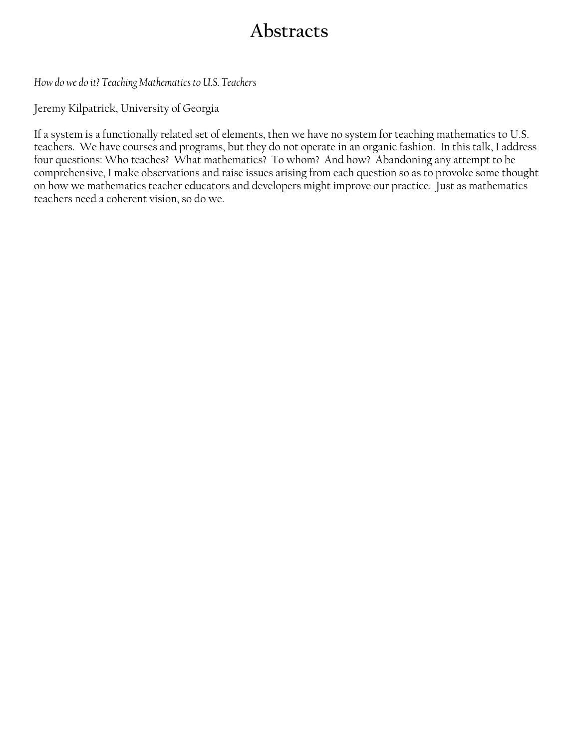# **Abstracts**

<span id="page-7-0"></span>*How do we do it? Teaching Mathematics to U.S. Teachers* 

Jeremy Kilpatrick, University of Georgia

If a system is a functionally related set of elements, then we have no system for teaching mathematics to U.S. teachers. We have courses and programs, but they do not operate in an organic fashion. In this talk, I address four questions: Who teaches? What mathematics? To whom? And how? Abandoning any attempt to be comprehensive, I make observations and raise issues arising from each question so as to provoke some thought on how we mathematics teacher educators and developers might improve our practice. Just as mathematics teachers need a coherent vision, so do we.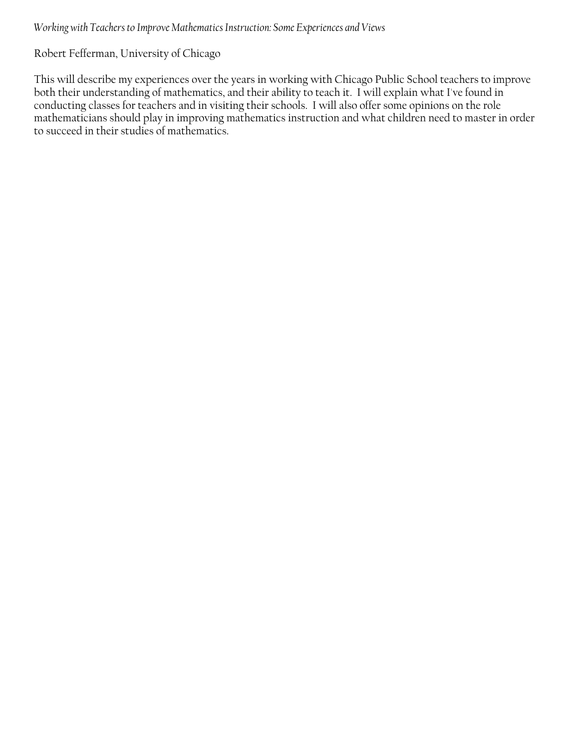#### <span id="page-8-0"></span>*Working with Teachers to Improve Mathematics Instruction: Some Experiences and Views*

## Robert Fefferman, University of Chicago

This will describe my experiences over the years in working with Chicago Public School teachers to improve both their understanding of mathematics, and their ability to teach it. I will explain what I've found in conducting classes for teachers and in visiting their schools. I will also offer some opinions on the role mathematicians should play in improving mathematics instruction and what children need to master in order to succeed in their studies of mathematics.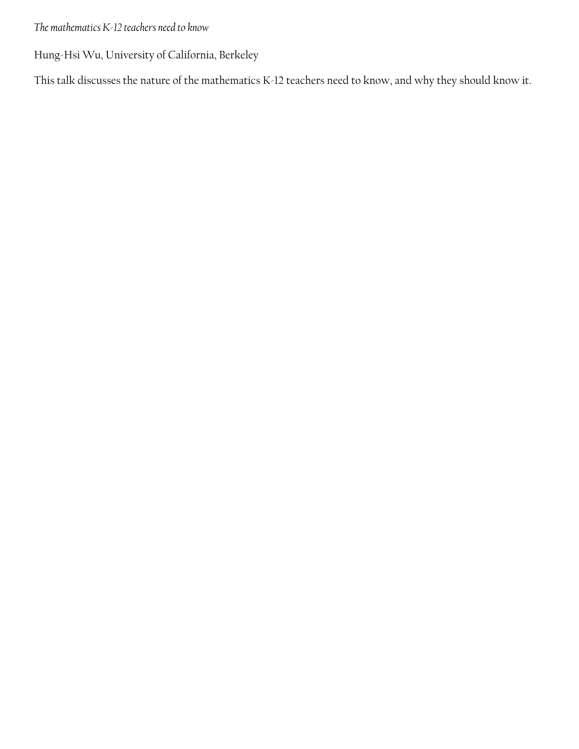<span id="page-9-0"></span>*The mathematics K-12 teachers need to know* 

Hung-Hsi Wu, University of California, Berkeley

This talk discusses the nature of the mathematics K-12 teachers need to know, and why they should know it.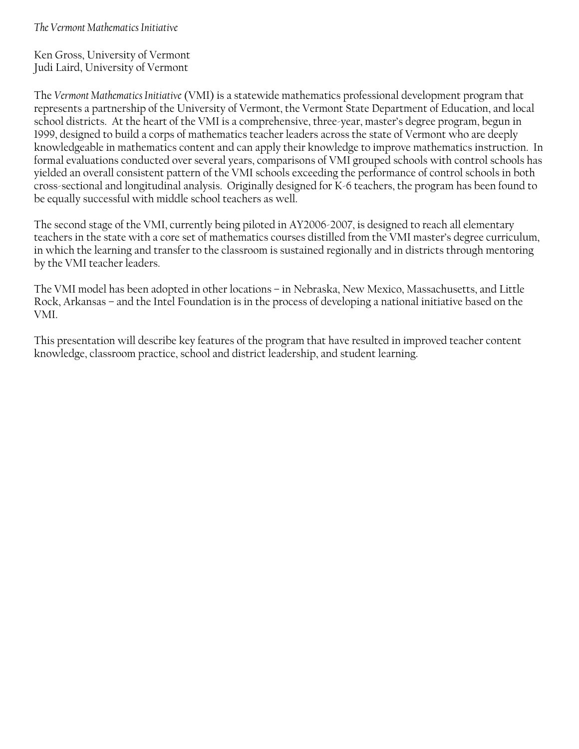<span id="page-10-0"></span>*The Vermont Mathematics Initiative* 

Ken Gross, University of Vermont Judi Laird, University of Vermont

The *Vermont Mathematics Initiative* (VMI) is a statewide mathematics professional development program that represents a partnership of the University of Vermont, the Vermont State Department of Education, and local school districts. At the heart of the VMI is a comprehensive, three-year, master's degree program, begun in 1999, designed to build a corps of mathematics teacher leaders across the state of Vermont who are deeply knowledgeable in mathematics content and can apply their knowledge to improve mathematics instruction. In formal evaluations conducted over several years, comparisons of VMI grouped schools with control schools has yielded an overall consistent pattern of the VMI schools exceeding the performance of control schools in both cross-sectional and longitudinal analysis. Originally designed for K-6 teachers, the program has been found to be equally successful with middle school teachers as well.

The second stage of the VMI, currently being piloted in AY2006-2007, is designed to reach all elementary teachers in the state with a core set of mathematics courses distilled from the VMI master's degree curriculum, in which the learning and transfer to the classroom is sustained regionally and in districts through mentoring by the VMI teacher leaders.

The VMI model has been adopted in other locations – in Nebraska, New Mexico, Massachusetts, and Little Rock, Arkansas – and the Intel Foundation is in the process of developing a national initiative based on the VMI.

This presentation will describe key features of the program that have resulted in improved teacher content knowledge, classroom practice, school and district leadership, and student learning.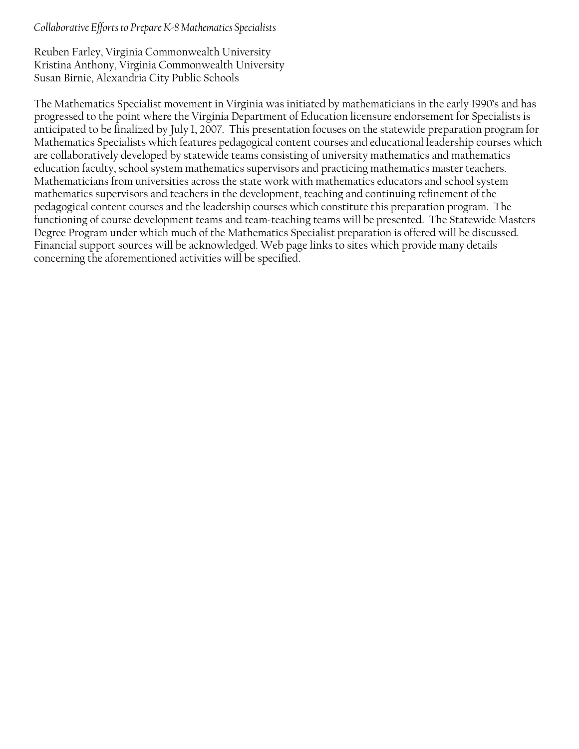#### <span id="page-11-0"></span>*Collaborative Efforts to Prepare K-8 Mathematics Specialists*

Reuben Farley, Virginia Commonwealth University Kristina Anthony, Virginia Commonwealth University Susan Birnie, Alexandria City Public Schools

The Mathematics Specialist movement in Virginia was initiated by mathematicians in the early 1990's and has progressed to the point where the Virginia Department of Education licensure endorsement for Specialists is anticipated to be finalized by July 1, 2007. This presentation focuses on the statewide preparation program for Mathematics Specialists which features pedagogical content courses and educational leadership courses which are collaboratively developed by statewide teams consisting of university mathematics and mathematics education faculty, school system mathematics supervisors and practicing mathematics master teachers. Mathematicians from universities across the state work with mathematics educators and school system mathematics supervisors and teachers in the development, teaching and continuing refinement of the pedagogical content courses and the leadership courses which constitute this preparation program. The functioning of course development teams and team-teaching teams will be presented. The Statewide Masters Degree Program under which much of the Mathematics Specialist preparation is offered will be discussed. Financial support sources will be acknowledged. Web page links to sites which provide many details concerning the aforementioned activities will be specified.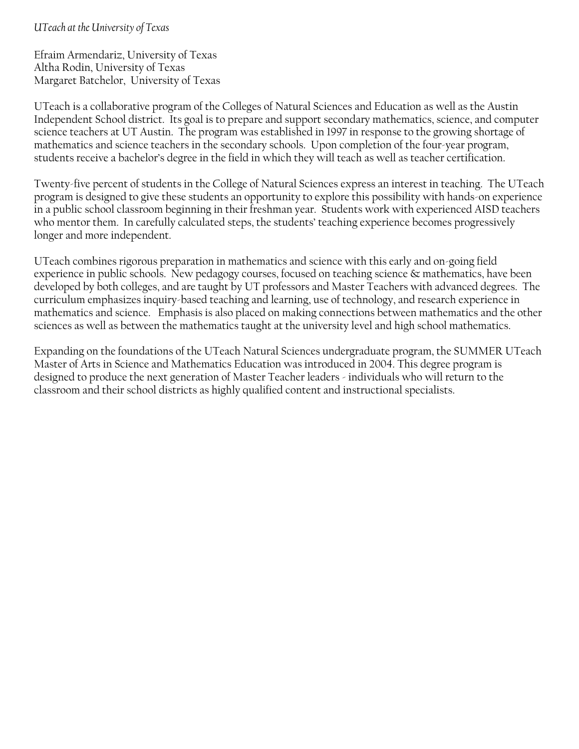## <span id="page-12-0"></span>*UTeach at the University of Texas*

Efraim Armendariz, University of Texas Altha Rodin, University of Texas Margaret Batchelor, University of Texas

UTeach is a collaborative program of the Colleges of Natural Sciences and Education as well as the Austin Independent School district. Its goal is to prepare and support secondary mathematics, science, and computer science teachers at UT Austin. The program was established in 1997 in response to the growing shortage of mathematics and science teachers in the secondary schools. Upon completion of the four-year program, students receive a bachelor's degree in the field in which they will teach as well as teacher certification.

Twenty-five percent of students in the College of Natural Sciences express an interest in teaching. The UTeach program is designed to give these students an opportunity to explore this possibility with hands-on experience in a public school classroom beginning in their freshman year. Students work with experienced AISD teachers who mentor them. In carefully calculated steps, the students' teaching experience becomes progressively longer and more independent.

UTeach combines rigorous preparation in mathematics and science with this early and on-going field experience in public schools. New pedagogy courses, focused on teaching science & mathematics, have been developed by both colleges, and are taught by UT professors and Master Teachers with advanced degrees. The curriculum emphasizes inquiry-based teaching and learning, use of technology, and research experience in mathematics and science. Emphasis is also placed on making connections between mathematics and the other sciences as well as between the mathematics taught at the university level and high school mathematics.

Expanding on the foundations of the UTeach Natural Sciences undergraduate program, the SUMMER UTeach Master of Arts in Science and Mathematics Education was introduced in 2004. This degree program is designed to produce the next generation of Master Teacher leaders - individuals who will return to the classroom and their school districts as highly qualified content and instructional specialists.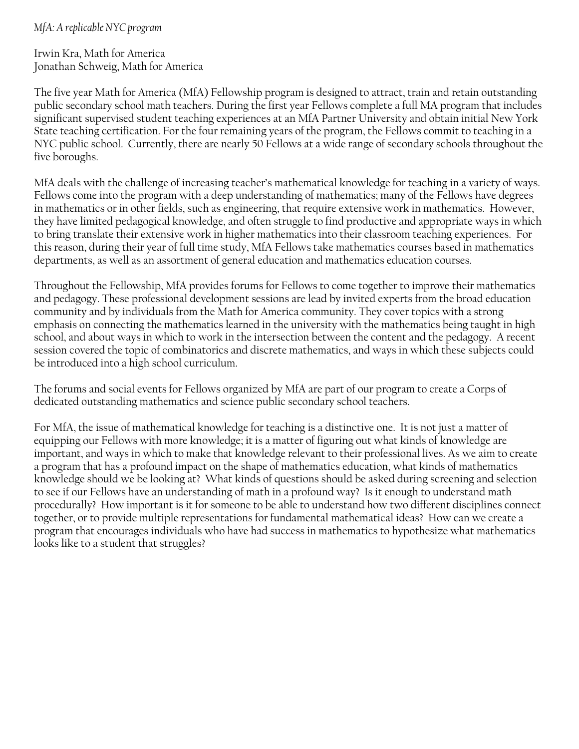#### <span id="page-13-0"></span>*MfA: A replicable NYC program*

Irwin Kra, Math for America Jonathan Schweig, Math for America

The five year Math for America (MfA) Fellowship program is designed to attract, train and retain outstanding public secondary school math teachers. During the first year Fellows complete a full MA program that includes significant supervised student teaching experiences at an MfA Partner University and obtain initial New York State teaching certification. For the four remaining years of the program, the Fellows commit to teaching in a NYC public school. Currently, there are nearly 50 Fellows at a wide range of secondary schools throughout the five boroughs.

MfA deals with the challenge of increasing teacher's mathematical knowledge for teaching in a variety of ways. Fellows come into the program with a deep understanding of mathematics; many of the Fellows have degrees in mathematics or in other fields, such as engineering, that require extensive work in mathematics. However, they have limited pedagogical knowledge, and often struggle to find productive and appropriate ways in which to bring translate their extensive work in higher mathematics into their classroom teaching experiences. For this reason, during their year of full time study, MfA Fellows take mathematics courses based in mathematics departments, as well as an assortment of general education and mathematics education courses.

Throughout the Fellowship, MfA provides forums for Fellows to come together to improve their mathematics and pedagogy. These professional development sessions are lead by invited experts from the broad education community and by individuals from the Math for America community. They cover topics with a strong emphasis on connecting the mathematics learned in the university with the mathematics being taught in high school, and about ways in which to work in the intersection between the content and the pedagogy. A recent session covered the topic of combinatorics and discrete mathematics, and ways in which these subjects could be introduced into a high school curriculum.

The forums and social events for Fellows organized by MfA are part of our program to create a Corps of dedicated outstanding mathematics and science public secondary school teachers.

For MfA, the issue of mathematical knowledge for teaching is a distinctive one. It is not just a matter of equipping our Fellows with more knowledge; it is a matter of figuring out what kinds of knowledge are important, and ways in which to make that knowledge relevant to their professional lives. As we aim to create a program that has a profound impact on the shape of mathematics education, what kinds of mathematics knowledge should we be looking at? What kinds of questions should be asked during screening and selection to see if our Fellows have an understanding of math in a profound way? Is it enough to understand math procedurally? How important is it for someone to be able to understand how two different disciplines connect together, or to provide multiple representations for fundamental mathematical ideas? How can we create a program that encourages individuals who have had success in mathematics to hypothesize what mathematics looks like to a student that struggles?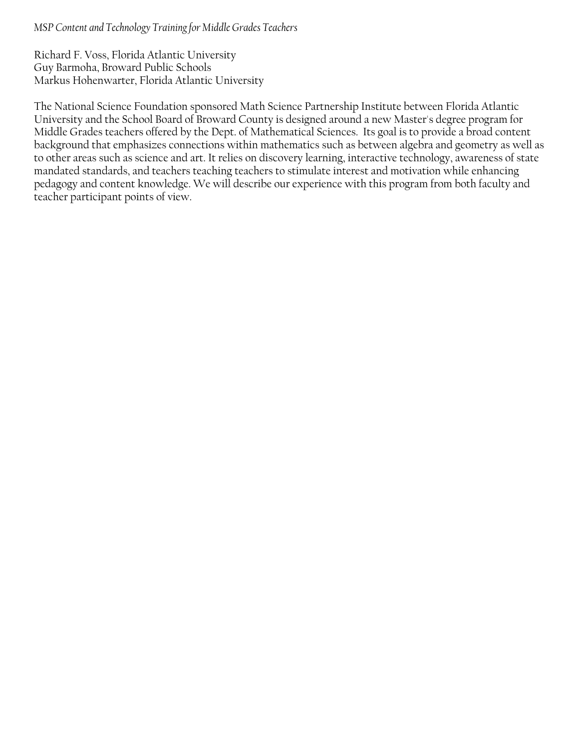#### <span id="page-14-0"></span>*MSP Content and Technology Training for Middle Grades Teachers*

Richard F. Voss, Florida Atlantic University Guy Barmoha, Broward Public Schools Markus Hohenwarter, Florida Atlantic University

The National Science Foundation sponsored Math Science Partnership Institute between Florida Atlantic University and the School Board of Broward County is designed around a new Master's degree program for Middle Grades teachers offered by the Dept. of Mathematical Sciences. Its goal is to provide a broad content background that emphasizes connections within mathematics such as between algebra and geometry as well as to other areas such as science and art. It relies on discovery learning, interactive technology, awareness of state mandated standards, and teachers teaching teachers to stimulate interest and motivation while enhancing pedagogy and content knowledge. We will describe our experience with this program from both faculty and teacher participant points of view.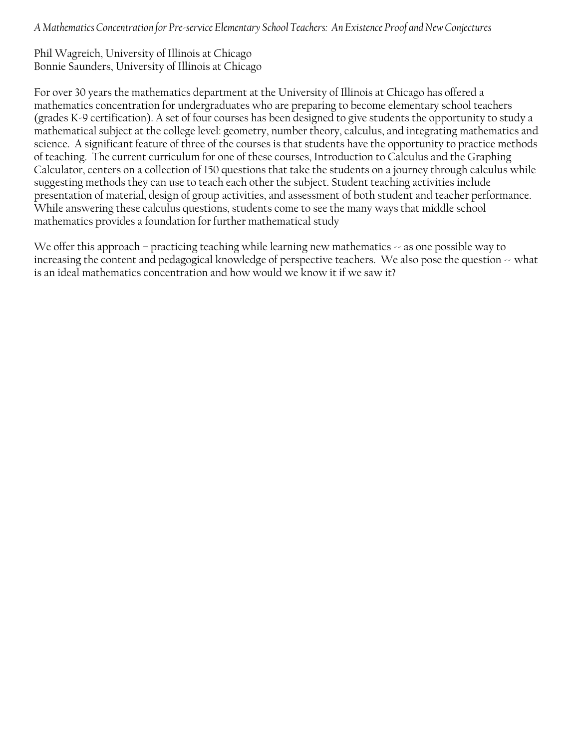<span id="page-15-0"></span>*A Mathematics Concentration for Pre-service Elementary School Teachers: An Existence Proof and New Conjectures* 

Phil Wagreich, University of Illinois at Chicago Bonnie Saunders, University of Illinois at Chicago

For over 30 years the mathematics department at the University of Illinois at Chicago has offered a mathematics concentration for undergraduates who are preparing to become elementary school teachers (grades K-9 certification). A set of four courses has been designed to give students the opportunity to study a mathematical subject at the college level: geometry, number theory, calculus, and integrating mathematics and science. A significant feature of three of the courses is that students have the opportunity to practice methods of teaching. The current curriculum for one of these courses, Introduction to Calculus and the Graphing Calculator, centers on a collection of 150 questions that take the students on a journey through calculus while suggesting methods they can use to teach each other the subject. Student teaching activities include presentation of material, design of group activities, and assessment of both student and teacher performance. While answering these calculus questions, students come to see the many ways that middle school mathematics provides a foundation for further mathematical study

We offer this approach – practicing teaching while learning new mathematics  $\sim$  as one possible way to increasing the content and pedagogical knowledge of perspective teachers. We also pose the question  $\sim$  what is an ideal mathematics concentration and how would we know it if we saw it?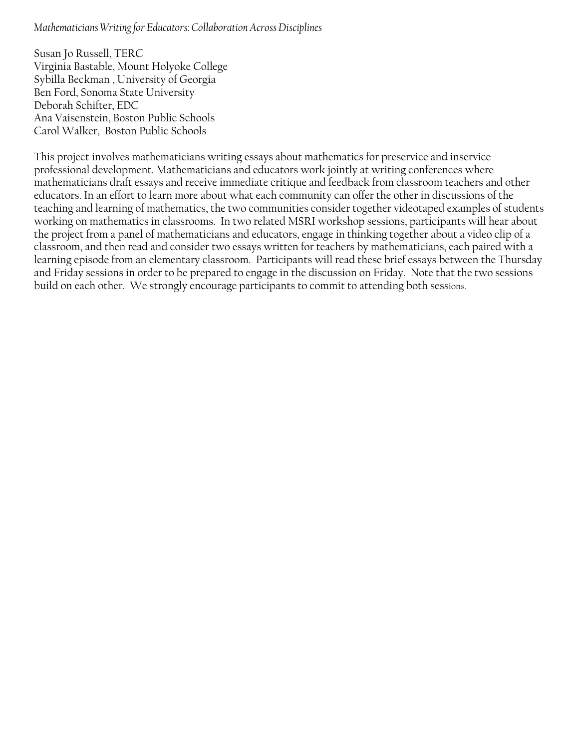#### <span id="page-16-0"></span>*Mathematicians Writing for Educators: Collaboration Across Disciplines*

Susan Jo Russell, TERC Virginia Bastable, Mount Holyoke College Sybilla Beckman , University of Georgia Ben Ford, Sonoma State University Deborah Schifter, EDC Ana Vaisenstein, Boston Public Schools Carol Walker, Boston Public Schools

This project involves mathematicians writing essays about mathematics for preservice and inservice professional development. Mathematicians and educators work jointly at writing conferences where mathematicians draft essays and receive immediate critique and feedback from classroom teachers and other educators. In an effort to learn more about what each community can offer the other in discussions of the teaching and learning of mathematics, the two communities consider together videotaped examples of students working on mathematics in classrooms. In two related MSRI workshop sessions, participants will hear about the project from a panel of mathematicians and educators, engage in thinking together about a video clip of a classroom, and then read and consider two essays written for teachers by mathematicians, each paired with a learning episode from an elementary classroom. Participants will read these brief essays between the Thursday and Friday sessions in order to be prepared to engage in the discussion on Friday. Note that the two sessions build on each other. We strongly encourage participants to commit to attending both sessions.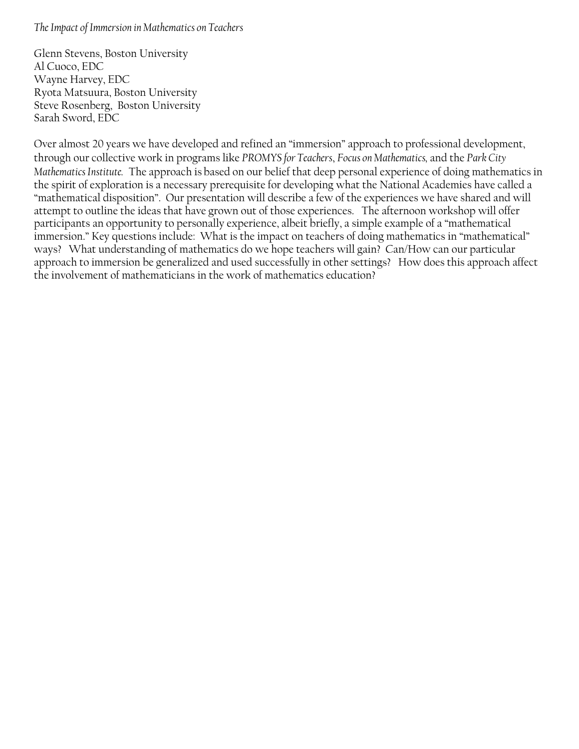#### <span id="page-17-0"></span>*The Impact of Immersion in Mathematics on Teachers*

Glenn Stevens, Boston University Al Cuoco, EDC Wayne Harvey, EDC Ryota Matsuura, Boston University Steve Rosenberg, Boston University Sarah Sword, EDC

Over almost 20 years we have developed and refined an "immersion" approach to professional development, through our collective work in programs like *PROMYS for Teachers*, *Focus on Mathematics,* and the *Park City Mathematics Institute.* The approach is based on our belief that deep personal experience of doing mathematics in the spirit of exploration is a necessary prerequisite for developing what the National Academies have called a "mathematical disposition". Our presentation will describe a few of the experiences we have shared and will attempt to outline the ideas that have grown out of those experiences. The afternoon workshop will offer participants an opportunity to personally experience, albeit briefly, a simple example of a "mathematical immersion." Key questions include: What is the impact on teachers of doing mathematics in "mathematical" ways? What understanding of mathematics do we hope teachers will gain? Can/How can our particular approach to immersion be generalized and used successfully in other settings? How does this approach affect the involvement of mathematicians in the work of mathematics education?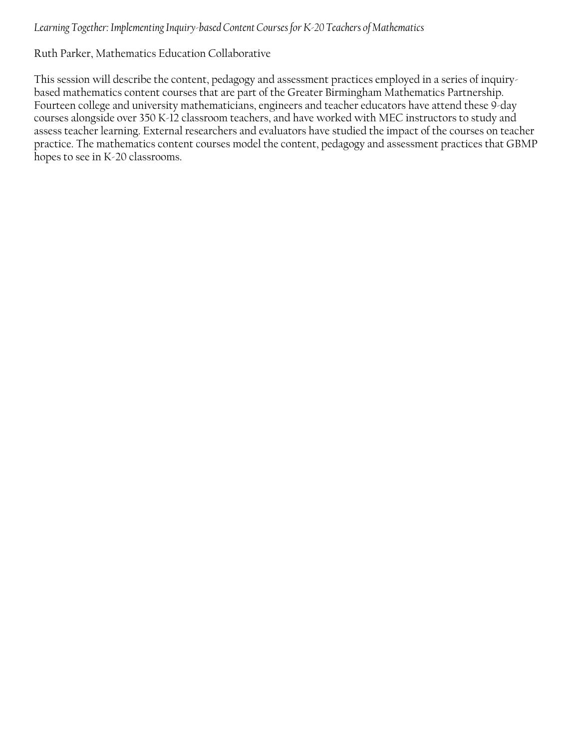## <span id="page-18-0"></span>*Learning Together: Implementing Inquiry-based Content Courses for K-20 Teachers of Mathematics*

## Ruth Parker, Mathematics Education Collaborative

This session will describe the content, pedagogy and assessment practices employed in a series of inquirybased mathematics content courses that are part of the Greater Birmingham Mathematics Partnership. Fourteen college and university mathematicians, engineers and teacher educators have attend these 9-day courses alongside over 350 K-12 classroom teachers, and have worked with MEC instructors to study and assess teacher learning. External researchers and evaluators have studied the impact of the courses on teacher practice. The mathematics content courses model the content, pedagogy and assessment practices that GBMP hopes to see in K-20 classrooms.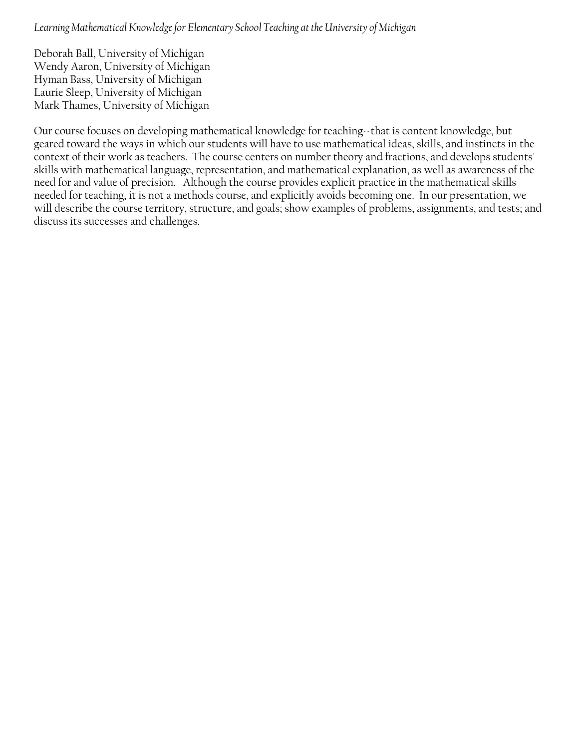<span id="page-19-0"></span>*Learning Mathematical Knowledge for Elementary School Teaching at the University of Michigan*

Deborah Ball, University of Michigan Wendy Aaron, University of Michigan Hyman Bass, University of Michigan Laurie Sleep, University of Michigan Mark Thames, University of Michigan

Our course focuses on developing mathematical knowledge for teaching--that is content knowledge, but geared toward the ways in which our students will have to use mathematical ideas, skills, and instincts in the context of their work as teachers. The course centers on number theory and fractions, and develops students' skills with mathematical language, representation, and mathematical explanation, as well as awareness of the need for and value of precision. Although the course provides explicit practice in the mathematical skills needed for teaching, it is not a methods course, and explicitly avoids becoming one. In our presentation, we will describe the course territory, structure, and goals; show examples of problems, assignments, and tests; and discuss its successes and challenges.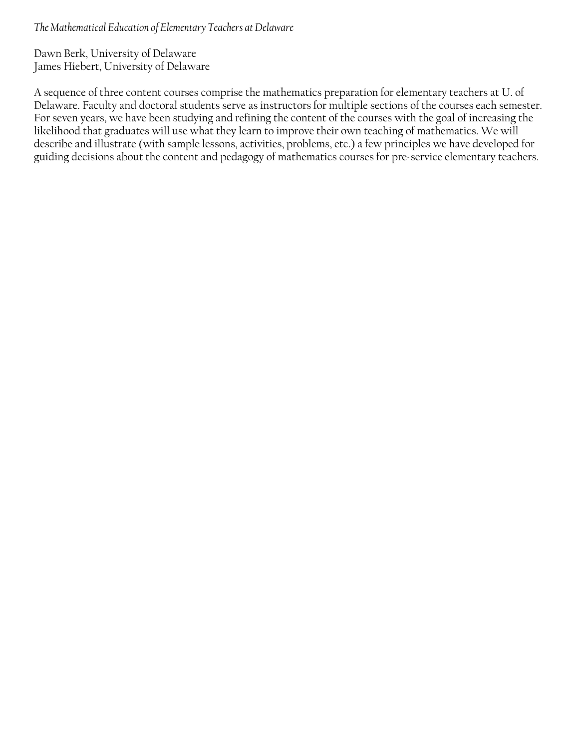<span id="page-20-0"></span>*The Mathematical Education of Elementary Teachers at Delaware* 

Dawn Berk, University of Delaware James Hiebert, University of Delaware

A sequence of three content courses comprise the mathematics preparation for elementary teachers at U. of Delaware. Faculty and doctoral students serve as instructors for multiple sections of the courses each semester. For seven years, we have been studying and refining the content of the courses with the goal of increasing the likelihood that graduates will use what they learn to improve their own teaching of mathematics. We will describe and illustrate (with sample lessons, activities, problems, etc.) a few principles we have developed for guiding decisions about the content and pedagogy of mathematics courses for pre-service elementary teachers.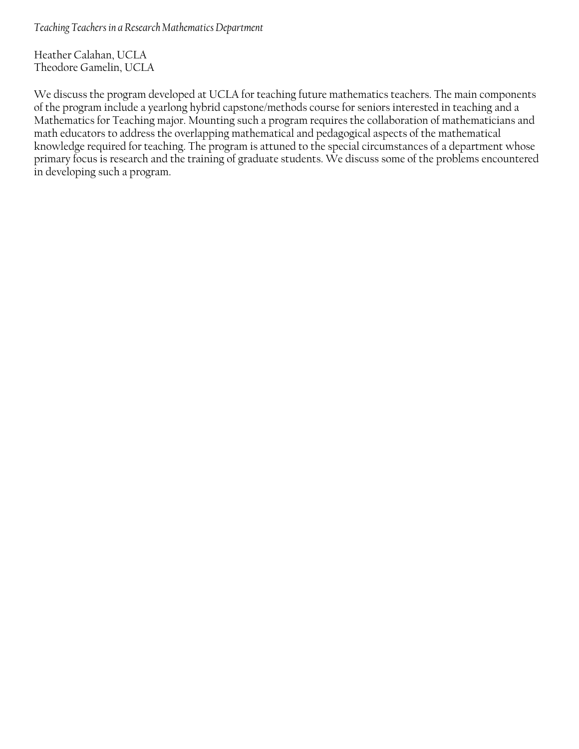<span id="page-21-0"></span>*Teaching Teachers in a Research Mathematics Department* 

Heather Calahan, UCLA Theodore Gamelin, UCLA

We discuss the program developed at UCLA for teaching future mathematics teachers. The main components of the program include a yearlong hybrid capstone/methods course for seniors interested in teaching and a Mathematics for Teaching major. Mounting such a program requires the collaboration of mathematicians and math educators to address the overlapping mathematical and pedagogical aspects of the mathematical knowledge required for teaching. The program is attuned to the special circumstances of a department whose primary focus is research and the training of graduate students. We discuss some of the problems encountered in developing such a program.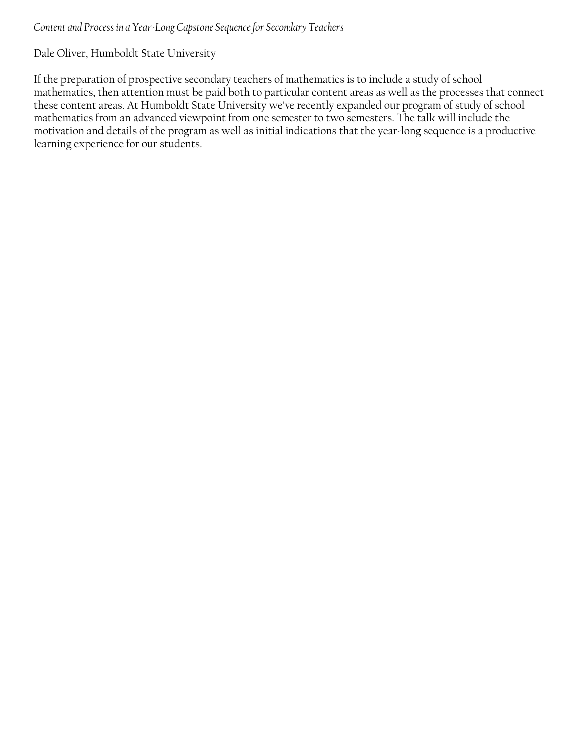#### <span id="page-22-0"></span>*Content and Process in a Year-Long Capstone Sequence for Secondary Teachers*

Dale Oliver, Humboldt State University

If the preparation of prospective secondary teachers of mathematics is to include a study of school mathematics, then attention must be paid both to particular content areas as well as the processes that connect these content areas. At Humboldt State University we've recently expanded our program of study of school mathematics from an advanced viewpoint from one semester to two semesters. The talk will include the motivation and details of the program as well as initial indications that the year-long sequence is a productive learning experience for our students.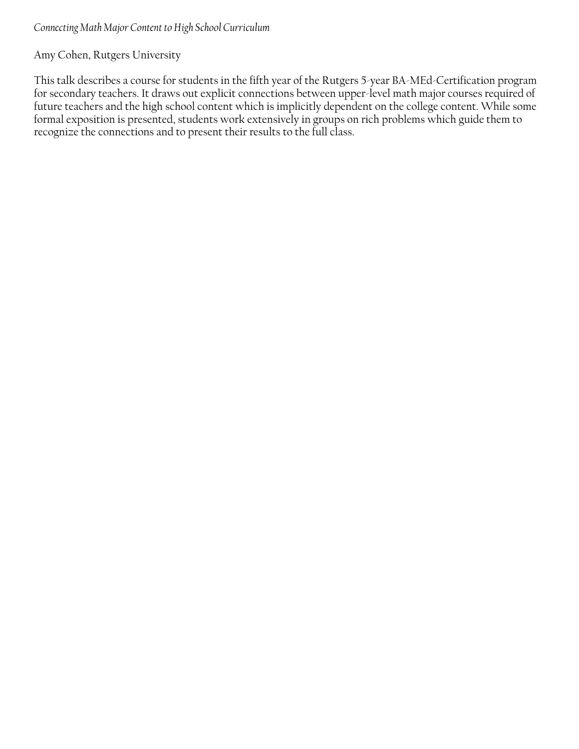## <span id="page-23-0"></span>*Connecting Math Major Content to High School Curriculum*

## Amy Cohen, Rutgers University

This talk describes a course for students in the fifth year of the Rutgers 5-year BA-MEd-Certification program for secondary teachers. It draws out explicit connections between upper-level math major courses required of future teachers and the high school content which is implicitly dependent on the college content. While some formal exposition is presented, students work extensively in groups on rich problems which guide them to recognize the connections and to present their results to the full class.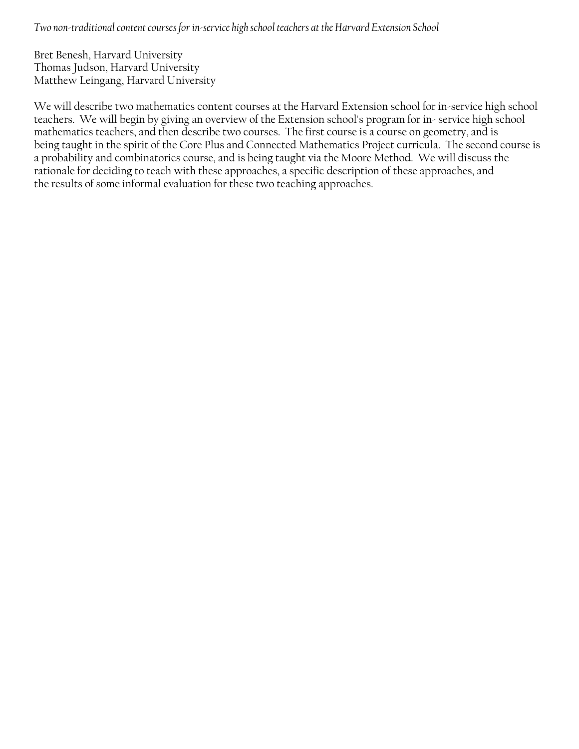<span id="page-24-0"></span>*Two non-traditional content courses for in-service high school teachers at the Harvard Extension School* 

Bret Benesh, Harvard University Thomas Judson, Harvard University Matthew Leingang, Harvard University

We will describe two mathematics content courses at the Harvard Extension school for in-service high school teachers. We will begin by giving an overview of the Extension school's program for in- service high school mathematics teachers, and then describe two courses. The first course is a course on geometry, and is being taught in the spirit of the Core Plus and Connected Mathematics Project curricula. The second course is a probability and combinatorics course, and is being taught via the Moore Method. We will discuss the rationale for deciding to teach with these approaches, a specific description of these approaches, and the results of some informal evaluation for these two teaching approaches.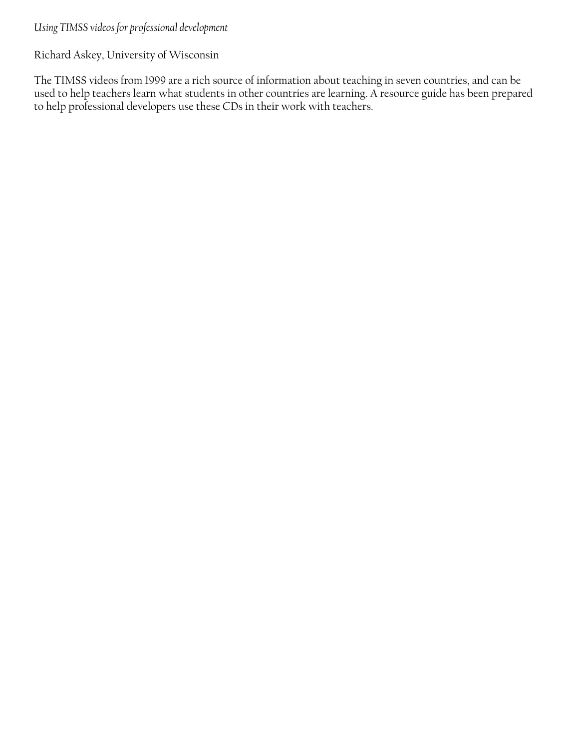## <span id="page-25-0"></span>*Using TIMSS videos for professional development*

Richard Askey, University of Wisconsin

The TIMSS videos from 1999 are a rich source of information about teaching in seven countries, and can be used to help teachers learn what students in other countries are learning. A resource guide has been prepared to help professional developers use these CDs in their work with teachers.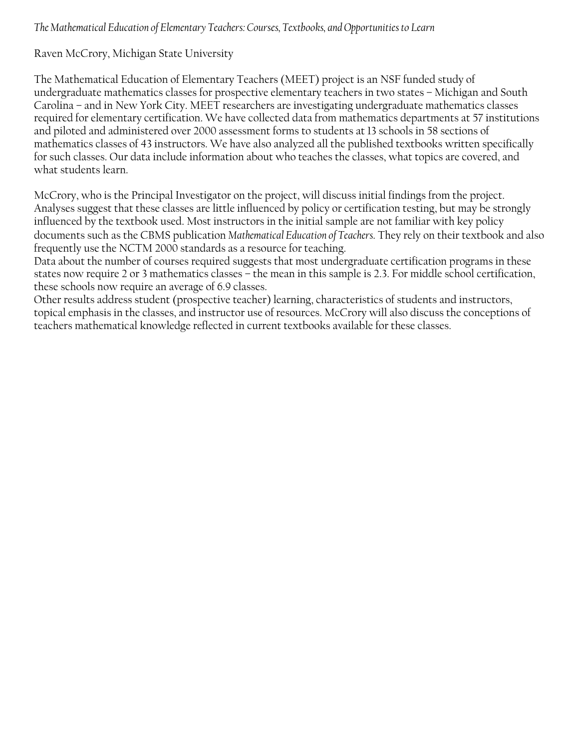## <span id="page-26-0"></span>*The Mathematical Education of Elementary Teachers: Courses, Textbooks, and Opportunities to Learn*

## Raven McCrory, Michigan State University

The Mathematical Education of Elementary Teachers (MEET) project is an NSF funded study of undergraduate mathematics classes for prospective elementary teachers in two states – Michigan and South Carolina – and in New York City. MEET researchers are investigating undergraduate mathematics classes required for elementary certification. We have collected data from mathematics departments at 57 institutions and piloted and administered over 2000 assessment forms to students at 13 schools in 58 sections of mathematics classes of 43 instructors. We have also analyzed all the published textbooks written specifically for such classes. Our data include information about who teaches the classes, what topics are covered, and what students learn.

McCrory, who is the Principal Investigator on the project, will discuss initial findings from the project. Analyses suggest that these classes are little influenced by policy or certification testing, but may be strongly influenced by the textbook used. Most instructors in the initial sample are not familiar with key policy documents such as the CBMS publication *Mathematical Education of Teachers*. They rely on their textbook and also frequently use the NCTM 2000 standards as a resource for teaching.

Data about the number of courses required suggests that most undergraduate certification programs in these states now require 2 or 3 mathematics classes – the mean in this sample is 2.3. For middle school certification, these schools now require an average of 6.9 classes.

Other results address student (prospective teacher) learning, characteristics of students and instructors, topical emphasis in the classes, and instructor use of resources. McCrory will also discuss the conceptions of teachers mathematical knowledge reflected in current textbooks available for these classes.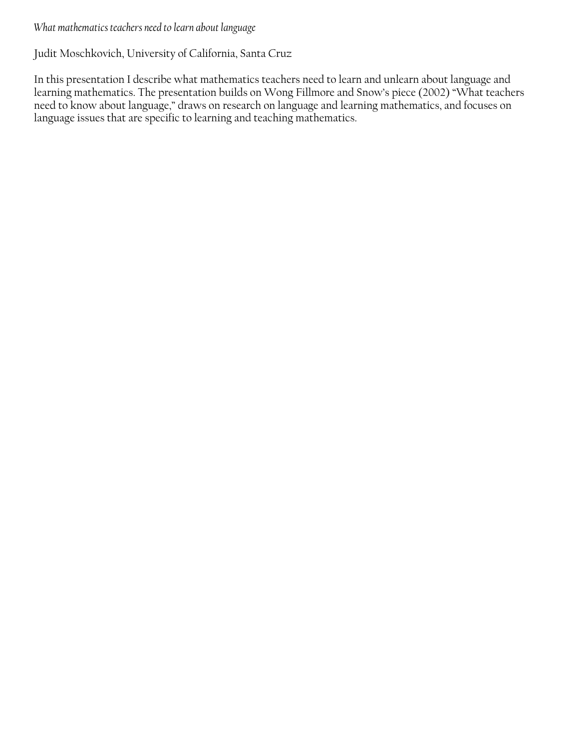## <span id="page-27-0"></span>*What mathematics teachers need to learn about language*

## Judit Moschkovich, University of California, Santa Cruz

In this presentation I describe what mathematics teachers need to learn and unlearn about language and learning mathematics. The presentation builds on Wong Fillmore and Snow's piece (2002) "What teachers need to know about language," draws on research on language and learning mathematics, and focuses on language issues that are specific to learning and teaching mathematics.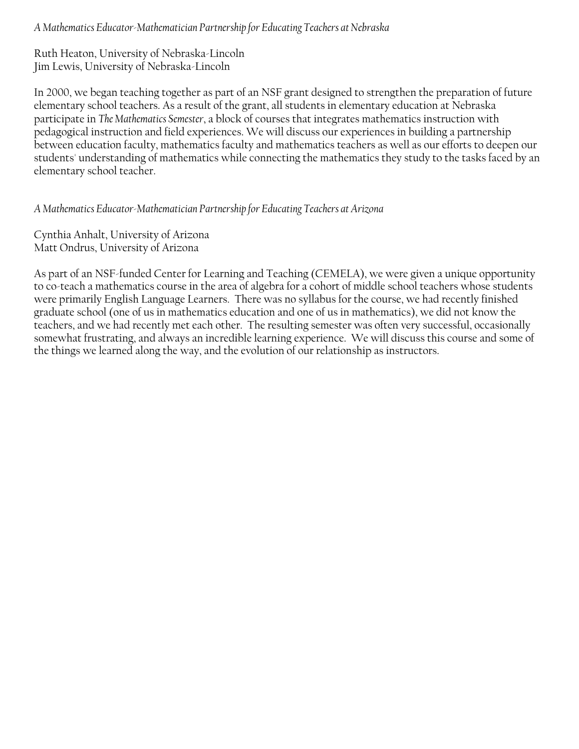<span id="page-28-0"></span>*A Mathematics Educator-Mathematician Partnership for Educating Teachers at Nebraska* 

Ruth Heaton, University of Nebraska-Lincoln Jim Lewis, University of Nebraska-Lincoln

In 2000, we began teaching together as part of an NSF grant designed to strengthen the preparation of future elementary school teachers. As a result of the grant, all students in elementary education at Nebraska participate in *The Mathematics Semester*, a block of courses that integrates mathematics instruction with pedagogical instruction and field experiences. We will discuss our experiences in building a partnership between education faculty, mathematics faculty and mathematics teachers as well as our efforts to deepen our students' understanding of mathematics while connecting the mathematics they study to the tasks faced by an elementary school teacher.

## *A Mathematics Educator-Mathematician Partnership for Educating Teachers at Arizona*

Cynthia Anhalt, University of Arizona Matt Ondrus, University of Arizona

As part of an NSF-funded Center for Learning and Teaching (CEMELA), we were given a unique opportunity to co-teach a mathematics course in the area of algebra for a cohort of middle school teachers whose students were primarily English Language Learners. There was no syllabus for the course, we had recently finished graduate school (one of us in mathematics education and one of us in mathematics), we did not know the teachers, and we had recently met each other. The resulting semester was often very successful, occasionally somewhat frustrating, and always an incredible learning experience. We will discuss this course and some of the things we learned along the way, and the evolution of our relationship as instructors.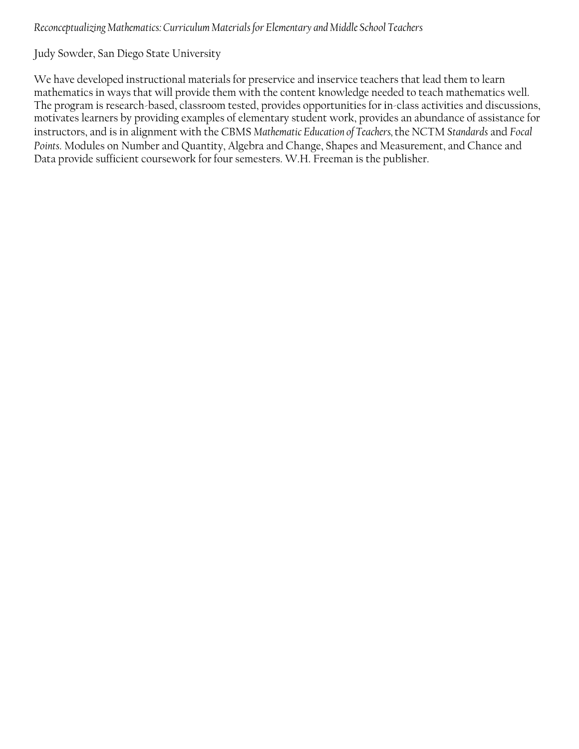## <span id="page-29-0"></span>*Reconceptualizing Mathematics: Curriculum Materials for Elementary and Middle School Teachers*

Judy Sowder, San Diego State University

We have developed instructional materials for preservice and inservice teachers that lead them to learn mathematics in ways that will provide them with the content knowledge needed to teach mathematics well. The program is research-based, classroom tested, provides opportunities for in-class activities and discussions, motivates learners by providing examples of elementary student work, provides an abundance of assistance for instructors, and is in alignment with the CBMS *Mathematic Education of Teachers,* the NCTM *Standards* and *Focal Points*. Modules on Number and Quantity, Algebra and Change, Shapes and Measurement, and Chance and Data provide sufficient coursework for four semesters. W.H. Freeman is the publisher.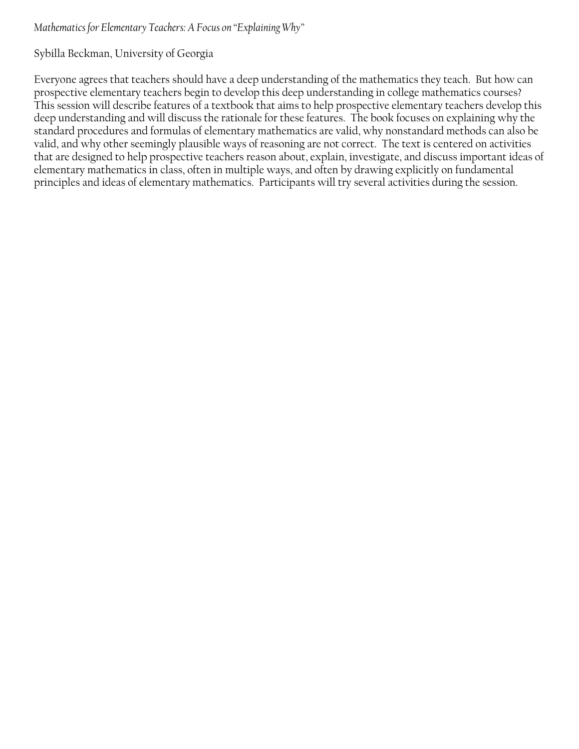## <span id="page-30-0"></span>*Mathematics for Elementary Teachers: A Focus on "Explaining Why"*

#### Sybilla Beckman, University of Georgia

Everyone agrees that teachers should have a deep understanding of the mathematics they teach. But how can prospective elementary teachers begin to develop this deep understanding in college mathematics courses? This session will describe features of a textbook that aims to help prospective elementary teachers develop this deep understanding and will discuss the rationale for these features. The book focuses on explaining why the standard procedures and formulas of elementary mathematics are valid, why nonstandard methods can also be valid, and why other seemingly plausible ways of reasoning are not correct. The text is centered on activities that are designed to help prospective teachers reason about, explain, investigate, and discuss important ideas of elementary mathematics in class, often in multiple ways, and often by drawing explicitly on fundamental principles and ideas of elementary mathematics. Participants will try several activities during the session.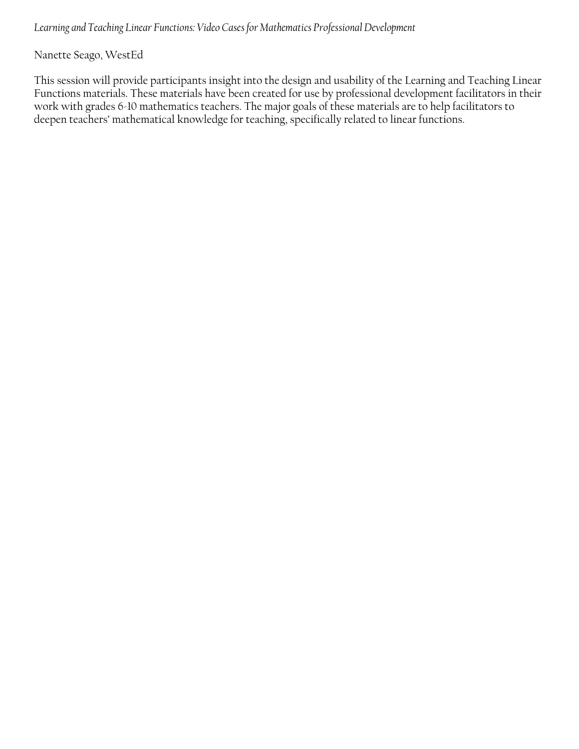<span id="page-31-0"></span>*Learning and Teaching Linear Functions: Video Cases for Mathematics Professional Development* 

Nanette Seago, WestEd

This session will provide participants insight into the design and usability of the Learning and Teaching Linear Functions materials. These materials have been created for use by professional development facilitators in their work with grades 6-10 mathematics teachers. The major goals of these materials are to help facilitators to deepen teachers' mathematical knowledge for teaching, specifically related to linear functions.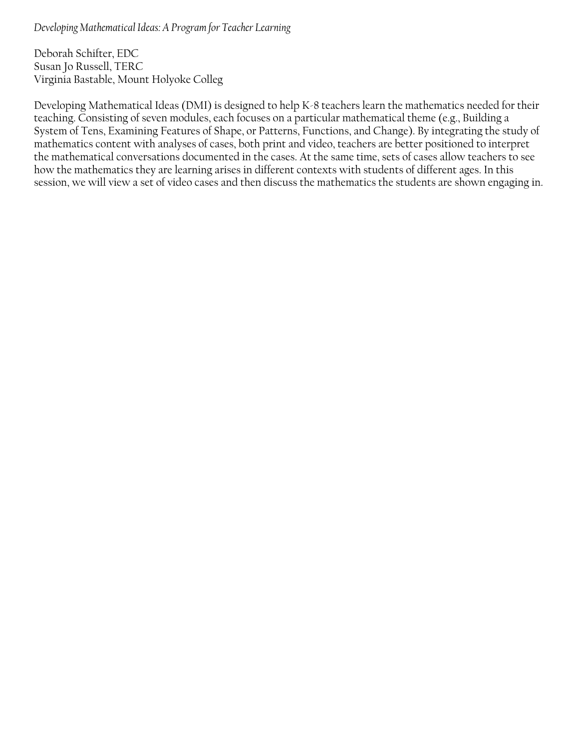<span id="page-32-0"></span>*Developing Mathematical Ideas: A Program for Teacher Learning* 

Deborah Schifter, EDC Susan Jo Russell, TERC Virginia Bastable, Mount Holyoke Colleg

Developing Mathematical Ideas (DMI) is designed to help K-8 teachers learn the mathematics needed for their teaching. Consisting of seven modules, each focuses on a particular mathematical theme (e.g., Building a System of Tens, Examining Features of Shape, or Patterns, Functions, and Change). By integrating the study of mathematics content with analyses of cases, both print and video, teachers are better positioned to interpret the mathematical conversations documented in the cases. At the same time, sets of cases allow teachers to see how the mathematics they are learning arises in different contexts with students of different ages. In this session, we will view a set of video cases and then discuss the mathematics the students are shown engaging in.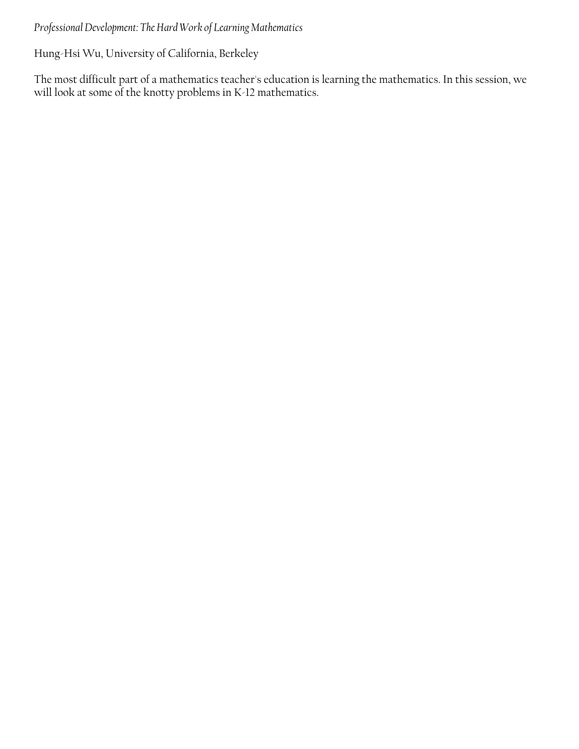## <span id="page-33-0"></span>*Professional Development: The Hard Work of Learning Mathematics*

Hung-Hsi Wu, University of California, Berkeley

The most difficult part of a mathematics teacher's education is learning the mathematics. In this session, we will look at some of the knotty problems in K-12 mathematics.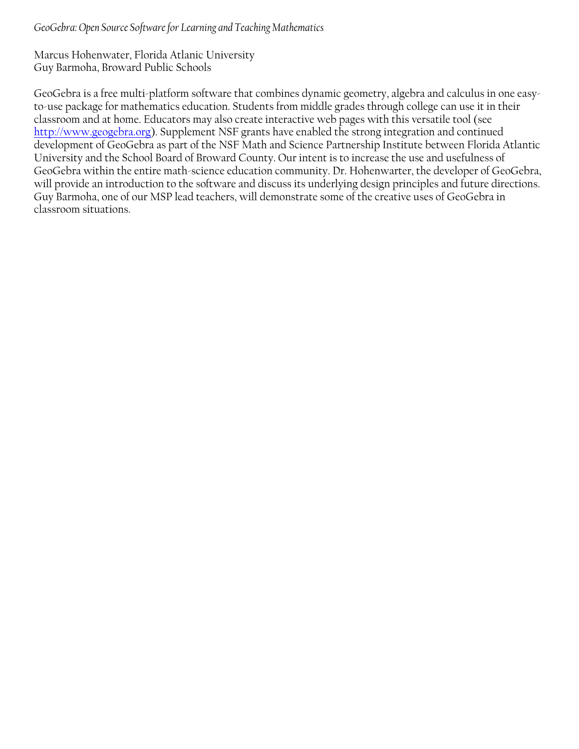#### <span id="page-34-0"></span>*GeoGebra: Open Source Software for Learning and Teaching Mathematics*

Marcus Hohenwater, Florida Atlanic University Guy Barmoha, Broward Public Schools

GeoGebra is a free multi-platform software that combines dynamic geometry, algebra and calculus in one easyto-use package for mathematics education. Students from middle grades through college can use it in their classroom and at home. Educators may also create interactive web pages with this versatile tool (see http://www.geogebra.org). Supplement NSF grants have enabled the strong integration and continued development of GeoGebra as part of the NSF Math and Science Partnership Institute between Florida Atlantic University and the School Board of Broward County. Our intent is to increase the use and usefulness of GeoGebra within the entire math-science education community. Dr. Hohenwarter, the developer of GeoGebra, will provide an introduction to the software and discuss its underlying design principles and future directions. Guy Barmoha, one of our MSP lead teachers, will demonstrate some of the creative uses of GeoGebra in classroom situations.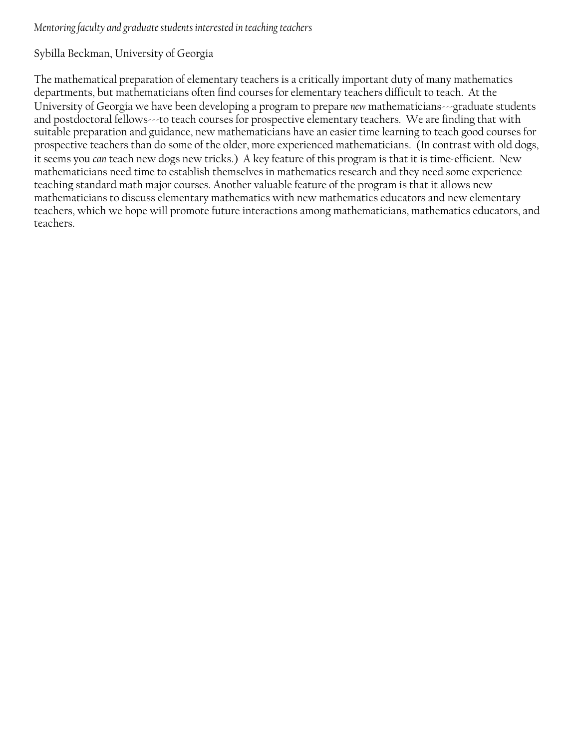### <span id="page-35-0"></span>*Mentoring faculty and graduate students interested in teaching teachers*

## Sybilla Beckman, University of Georgia

The mathematical preparation of elementary teachers is a critically important duty of many mathematics departments, but mathematicians often find courses for elementary teachers difficult to teach. At the University of Georgia we have been developing a program to prepare *new* mathematicians---graduate students and postdoctoral fellows---to teach courses for prospective elementary teachers. We are finding that with suitable preparation and guidance, new mathematicians have an easier time learning to teach good courses for prospective teachers than do some of the older, more experienced mathematicians. (In contrast with old dogs, it seems you *can* teach new dogs new tricks.) A key feature of this program is that it is time-efficient. New mathematicians need time to establish themselves in mathematics research and they need some experience teaching standard math major courses. Another valuable feature of the program is that it allows new mathematicians to discuss elementary mathematics with new mathematics educators and new elementary teachers, which we hope will promote future interactions among mathematicians, mathematics educators, and teachers.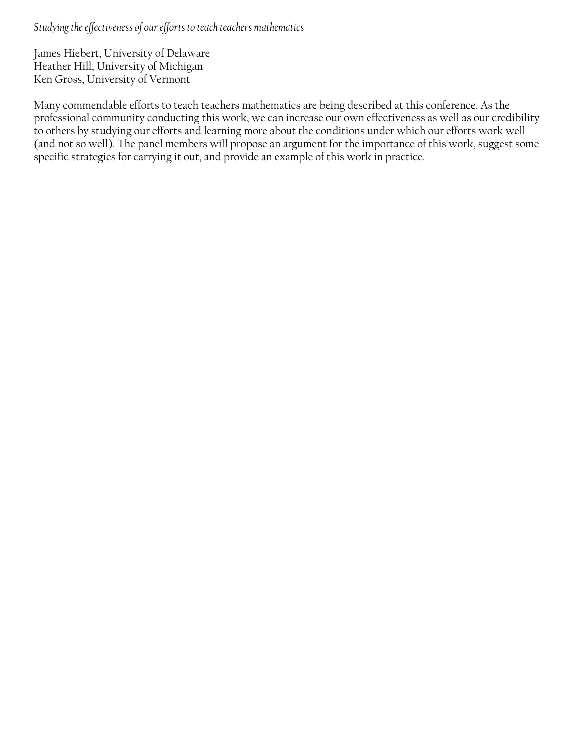<span id="page-36-0"></span>*Studying the effectiveness of our efforts to teach teachers mathematics* 

James Hiebert, University of Delaware Heather Hill, University of Michigan Ken Gross, University of Vermont

Many commendable efforts to teach teachers mathematics are being described at this conference. As the professional community conducting this work, we can increase our own effectiveness as well as our credibility to others by studying our efforts and learning more about the conditions under which our efforts work well (and not so well). The panel members will propose an argument for the importance of this work, suggest some specific strategies for carrying it out, and provide an example of this work in practice.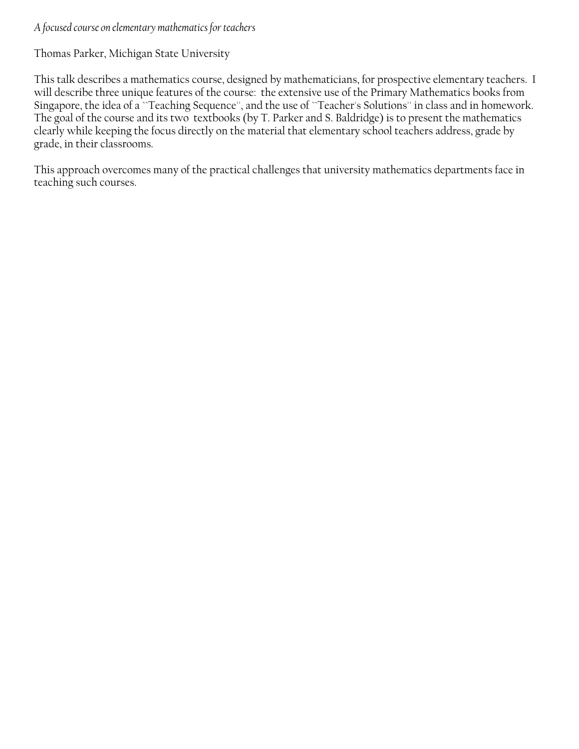#### <span id="page-37-0"></span>*A focused course on elementary mathematics for teachers*

Thomas Parker, Michigan State University

This talk describes a mathematics course, designed by mathematicians, for prospective elementary teachers. I will describe three unique features of the course: the extensive use of the Primary Mathematics books from Singapore, the idea of a ``Teaching Sequence'', and the use of ``Teacher's Solutions'' in class and in homework. The goal of the course and its two textbooks (by T. Parker and S. Baldridge) is to present the mathematics clearly while keeping the focus directly on the material that elementary school teachers address, grade by grade, in their classrooms.

This approach overcomes many of the practical challenges that university mathematics departments face in teaching such courses.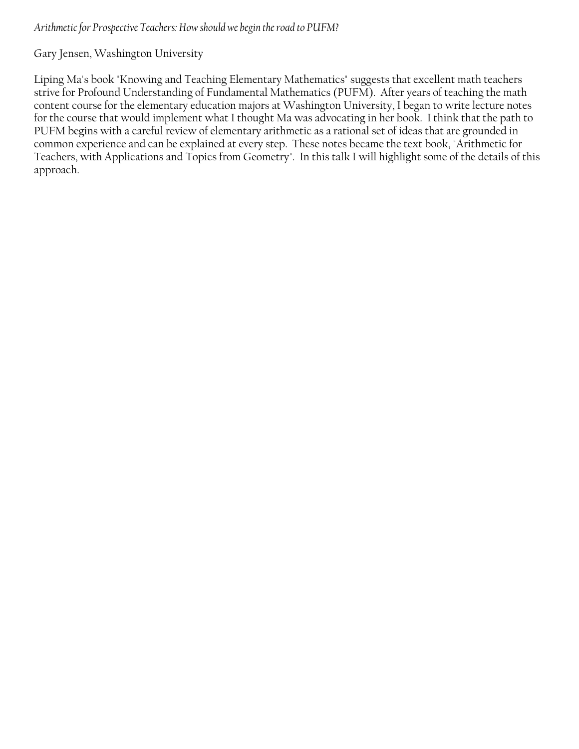<span id="page-38-0"></span>Gary Jensen, Washington University

Liping Ma's book "Knowing and Teaching Elementary Mathematics" suggests that excellent math teachers strive for Profound Understanding of Fundamental Mathematics (PUFM). After years of teaching the math content course for the elementary education majors at Washington University, I began to write lecture notes for the course that would implement what I thought Ma was advocating in her book. I think that the path to PUFM begins with a careful review of elementary arithmetic as a rational set of ideas that are grounded in common experience and can be explained at every step. These notes became the text book, "Arithmetic for Teachers, with Applications and Topics from Geometry". In this talk I will highlight some of the details of this approach.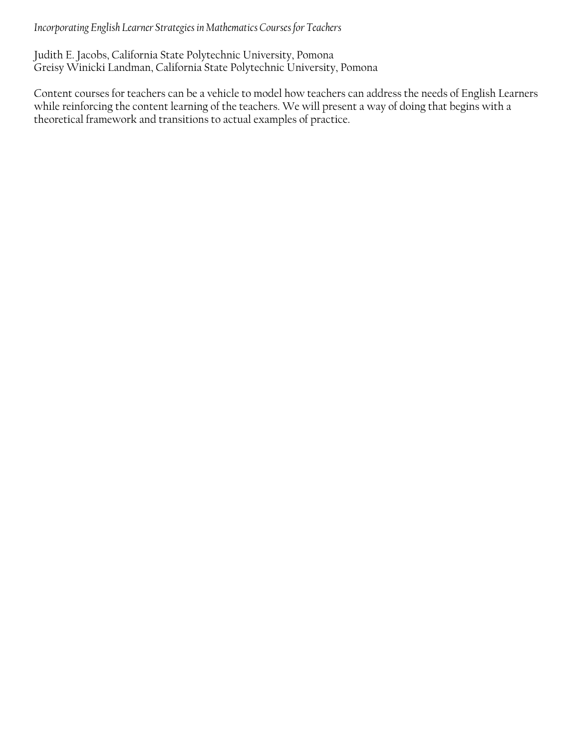<span id="page-39-0"></span>*Incorporating English Learner Strategies in Mathematics Courses for Teachers* 

Judith E. Jacobs, California State Polytechnic University, Pomona Greisy Winicki Landman, California State Polytechnic University, Pomona

Content courses for teachers can be a vehicle to model how teachers can address the needs of English Learners while reinforcing the content learning of the teachers. We will present a way of doing that begins with a theoretical framework and transitions to actual examples of practice.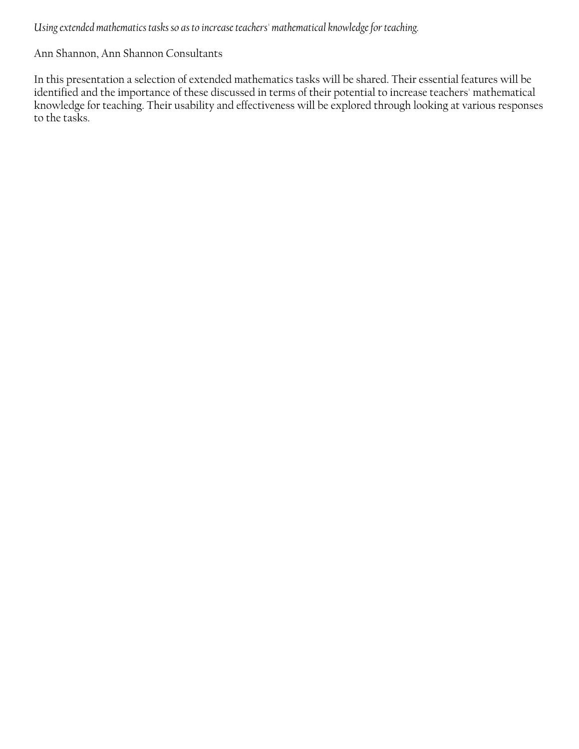<span id="page-40-0"></span>*Using extended mathematics tasks so as to increase teachers' mathematical knowledge for teaching.* 

Ann Shannon, Ann Shannon Consultants

In this presentation a selection of extended mathematics tasks will be shared. Their essential features will be identified and the importance of these discussed in terms of their potential to increase teachers' mathematical knowledge for teaching. Their usability and effectiveness will be explored through looking at various responses to the tasks.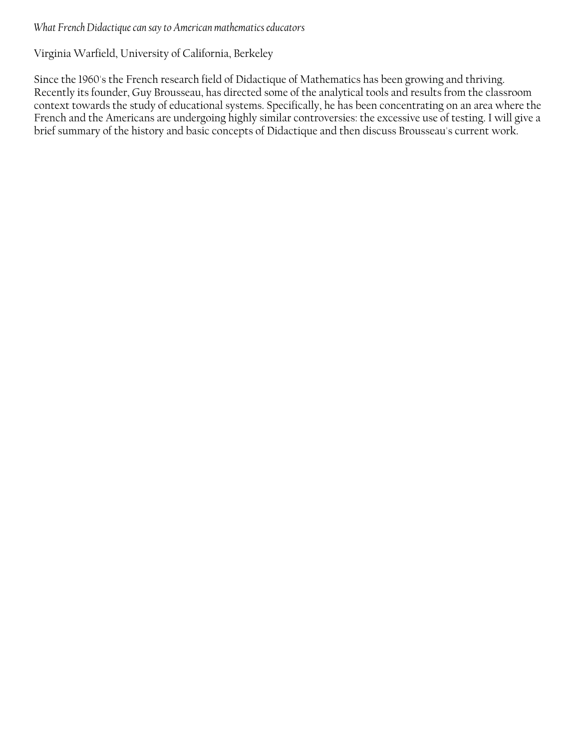#### <span id="page-41-0"></span>*What French Didactique can say to American mathematics educators*

## Virginia Warfield, University of California, Berkeley

Since the 1960's the French research field of Didactique of Mathematics has been growing and thriving. Recently its founder, Guy Brousseau, has directed some of the analytical tools and results from the classroom context towards the study of educational systems. Specifically, he has been concentrating on an area where the French and the Americans are undergoing highly similar controversies: the excessive use of testing. I will give a brief summary of the history and basic concepts of Didactique and then discuss Brousseau's current work.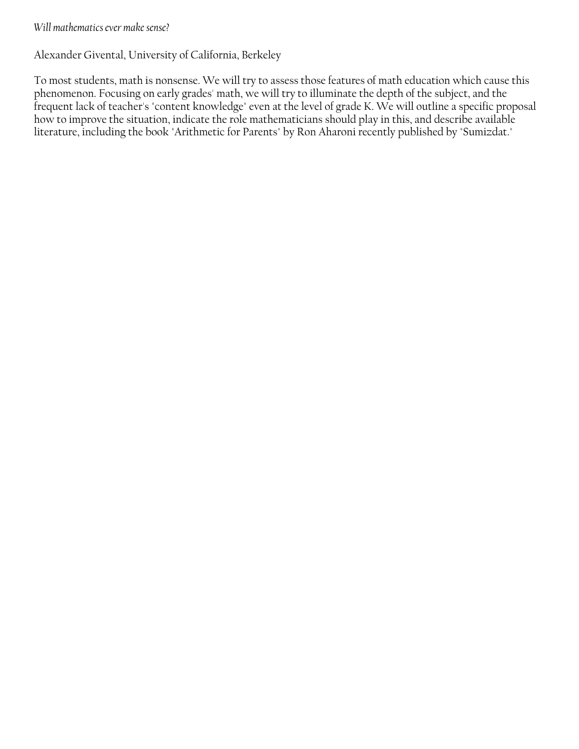#### <span id="page-42-0"></span>*Will mathematics ever make sense?*

Alexander Givental, University of California, Berkeley

To most students, math is nonsense. We will try to assess those features of math education which cause this phenomenon. Focusing on early grades' math, we will try to illuminate the depth of the subject, and the frequent lack of teacher's "content knowledge" even at the level of grade K. We will outline a specific proposal how to improve the situation, indicate the role mathematicians should play in this, and describe available literature, including the book "Arithmetic for Parents" by Ron Aharoni recently published by "Sumizdat."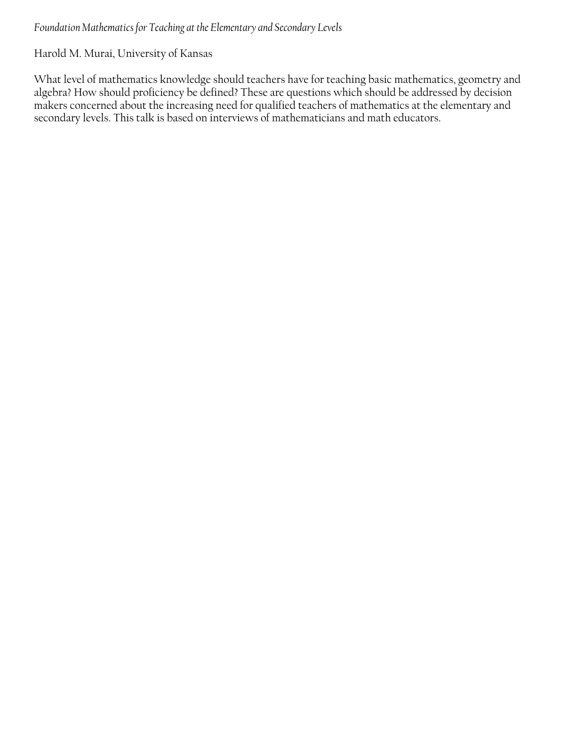## <span id="page-43-0"></span>*Foundation Mathematics for Teaching at the Elementary and Secondary Levels*

Harold M. Murai, University of Kansas

What level of mathematics knowledge should teachers have for teaching basic mathematics, geometry and algebra? How should proficiency be defined? These are questions which should be addressed by decision makers concerned about the increasing need for qualified teachers of mathematics at the elementary and secondary levels. This talk is based on interviews of mathematicians and math educators.